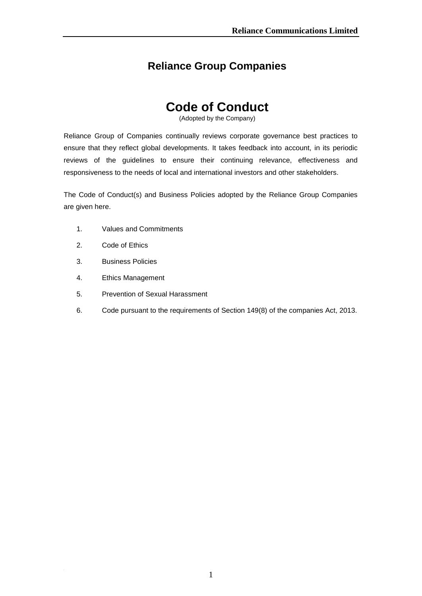# **Reliance Group Companies**

# **Code of Conduct**

(Adopted by the Company)

Reliance Group of Companies continually reviews corporate governance best practices to ensure that they reflect global developments. It takes feedback into account, in its periodic reviews of the guidelines to ensure their continuing relevance, effectiveness and responsiveness to the needs of local and international investors and other stakeholders.

The Code of Conduct(s) and Business Policies adopted by the Reliance Group Companies are given here.

- 1. Values and Commitments
- 2. Code of Ethics
- 3. Business Policies
- 4. Ethics Management
- 5. Prevention of Sexual Harassment
- 6. Code pursuant to the requirements of Section 149(8) of the companies Act, 2013.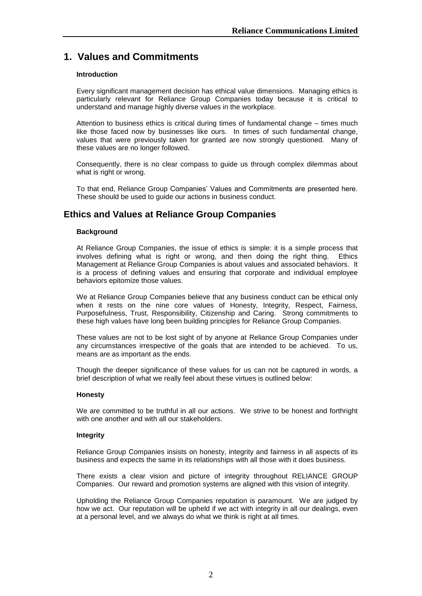# **1. Values and Commitments**

# **Introduction**

Every significant management decision has ethical value dimensions. Managing ethics is particularly relevant for Reliance Group Companies today because it is critical to understand and manage highly diverse values in the workplace.

Attention to business ethics is critical during times of fundamental change – times much like those faced now by businesses like ours. In times of such fundamental change, values that were previously taken for granted are now strongly questioned. Many of these values are no longer followed.

Consequently, there is no clear compass to guide us through complex dilemmas about what is right or wrong.

To that end, Reliance Group Companies" Values and Commitments are presented here. These should be used to guide our actions in business conduct.

# **Ethics and Values at Reliance Group Companies**

# **Background**

At Reliance Group Companies, the issue of ethics is simple: it is a simple process that involves defining what is right or wrong, and then doing the right thing. Ethics Management at Reliance Group Companies is about values and associated behaviors. It is a process of defining values and ensuring that corporate and individual employee behaviors epitomize those values.

We at Reliance Group Companies believe that any business conduct can be ethical only when it rests on the nine core values of Honesty, Integrity, Respect, Fairness, Purposefulness, Trust, Responsibility, Citizenship and Caring. Strong commitments to these high values have long been building principles for Reliance Group Companies.

These values are not to be lost sight of by anyone at Reliance Group Companies under any circumstances irrespective of the goals that are intended to be achieved. To us, means are as important as the ends.

Though the deeper significance of these values for us can not be captured in words, a brief description of what we really feel about these virtues is outlined below:

# **Honesty**

We are committed to be truthful in all our actions. We strive to be honest and forthright with one another and with all our stakeholders.

# **Integrity**

Reliance Group Companies insists on honesty, integrity and fairness in all aspects of its business and expects the same in its relationships with all those with it does business.

There exists a clear vision and picture of integrity throughout RELIANCE GROUP Companies. Our reward and promotion systems are aligned with this vision of integrity.

Upholding the Reliance Group Companies reputation is paramount. We are judged by how we act. Our reputation will be upheld if we act with integrity in all our dealings, even at a personal level, and we always do what we think is right at all times.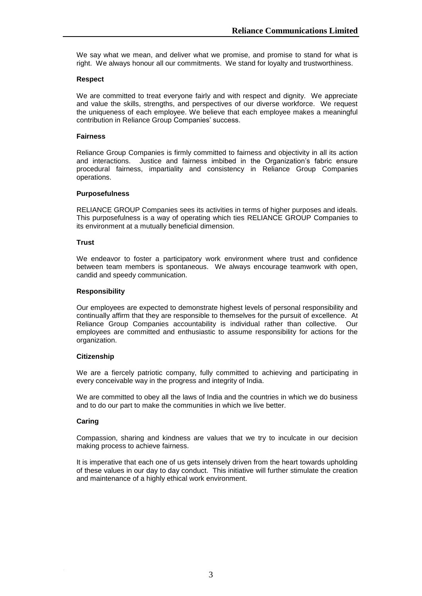We say what we mean, and deliver what we promise, and promise to stand for what is right. We always honour all our commitments. We stand for loyalty and trustworthiness.

# **Respect**

We are committed to treat everyone fairly and with respect and dignity. We appreciate and value the skills, strengths, and perspectives of our diverse workforce. We request the uniqueness of each employee. We believe that each employee makes a meaningful contribution in Reliance Group Companies' success.

#### **Fairness**

Reliance Group Companies is firmly committed to fairness and objectivity in all its action and interactions. Justice and fairness imbibed in the Organization"s fabric ensure procedural fairness, impartiality and consistency in Reliance Group Companies operations.

#### **Purposefulness**

RELIANCE GROUP Companies sees its activities in terms of higher purposes and ideals. This purposefulness is a way of operating which ties RELIANCE GROUP Companies to its environment at a mutually beneficial dimension.

#### **Trust**

We endeavor to foster a participatory work environment where trust and confidence between team members is spontaneous. We always encourage teamwork with open, candid and speedy communication.

#### **Responsibility**

Our employees are expected to demonstrate highest levels of personal responsibility and continually affirm that they are responsible to themselves for the pursuit of excellence. At Reliance Group Companies accountability is individual rather than collective. Our employees are committed and enthusiastic to assume responsibility for actions for the organization.

# **Citizenship**

We are a fiercely patriotic company, fully committed to achieving and participating in every conceivable way in the progress and integrity of India.

We are committed to obey all the laws of India and the countries in which we do business and to do our part to make the communities in which we live better.

#### **Caring**

Compassion, sharing and kindness are values that we try to inculcate in our decision making process to achieve fairness.

It is imperative that each one of us gets intensely driven from the heart towards upholding of these values in our day to day conduct. This initiative will further stimulate the creation and maintenance of a highly ethical work environment.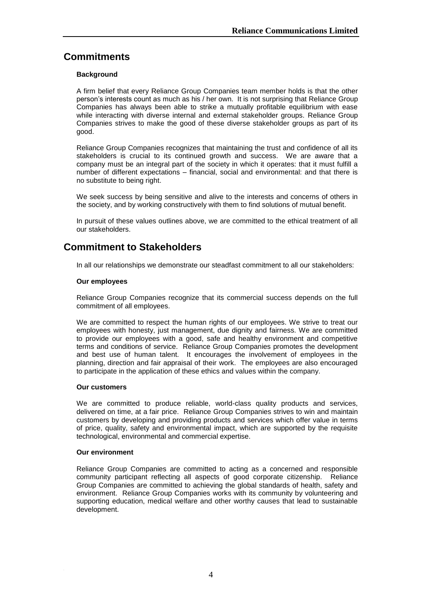# **Commitments**

# **Background**

A firm belief that every Reliance Group Companies team member holds is that the other person"s interests count as much as his / her own. It is not surprising that Reliance Group Companies has always been able to strike a mutually profitable equilibrium with ease while interacting with diverse internal and external stakeholder groups. Reliance Group Companies strives to make the good of these diverse stakeholder groups as part of its good.

Reliance Group Companies recognizes that maintaining the trust and confidence of all its stakeholders is crucial to its continued growth and success. We are aware that a company must be an integral part of the society in which it operates: that it must fulfill a number of different expectations – financial, social and environmental: and that there is no substitute to being right.

We seek success by being sensitive and alive to the interests and concerns of others in the society, and by working constructively with them to find solutions of mutual benefit.

In pursuit of these values outlines above, we are committed to the ethical treatment of all our stakeholders.

# **Commitment to Stakeholders**

In all our relationships we demonstrate our steadfast commitment to all our stakeholders:

# **Our employees**

Reliance Group Companies recognize that its commercial success depends on the full commitment of all employees.

We are committed to respect the human rights of our employees. We strive to treat our employees with honesty, just management, due dignity and fairness. We are committed to provide our employees with a good, safe and healthy environment and competitive terms and conditions of service. Reliance Group Companies promotes the development and best use of human talent. It encourages the involvement of employees in the planning, direction and fair appraisal of their work. The employees are also encouraged to participate in the application of these ethics and values within the company.

#### **Our customers**

We are committed to produce reliable, world-class quality products and services, delivered on time, at a fair price. Reliance Group Companies strives to win and maintain customers by developing and providing products and services which offer value in terms of price, quality, safety and environmental impact, which are supported by the requisite technological, environmental and commercial expertise.

#### **Our environment**

Reliance Group Companies are committed to acting as a concerned and responsible community participant reflecting all aspects of good corporate citizenship. Reliance Group Companies are committed to achieving the global standards of health, safety and environment. Reliance Group Companies works with its community by volunteering and supporting education, medical welfare and other worthy causes that lead to sustainable development.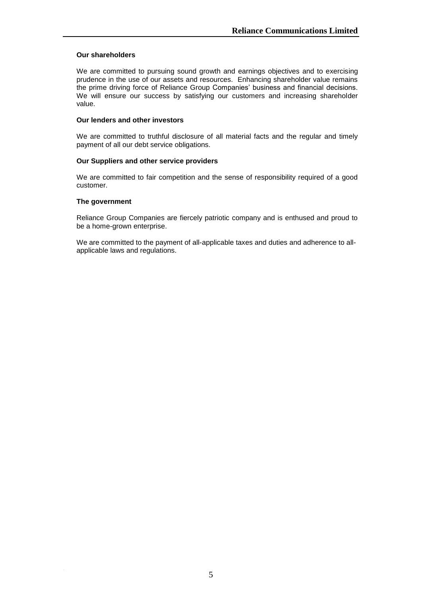### **Our shareholders**

We are committed to pursuing sound growth and earnings objectives and to exercising prudence in the use of our assets and resources. Enhancing shareholder value remains the prime driving force of Reliance Group Companies" business and financial decisions. We will ensure our success by satisfying our customers and increasing shareholder value.

# **Our lenders and other investors**

We are committed to truthful disclosure of all material facts and the regular and timely payment of all our debt service obligations.

#### **Our Suppliers and other service providers**

We are committed to fair competition and the sense of responsibility required of a good customer.

#### **The government**

Reliance Group Companies are fiercely patriotic company and is enthused and proud to be a home-grown enterprise.

We are committed to the payment of all-applicable taxes and duties and adherence to allapplicable laws and regulations.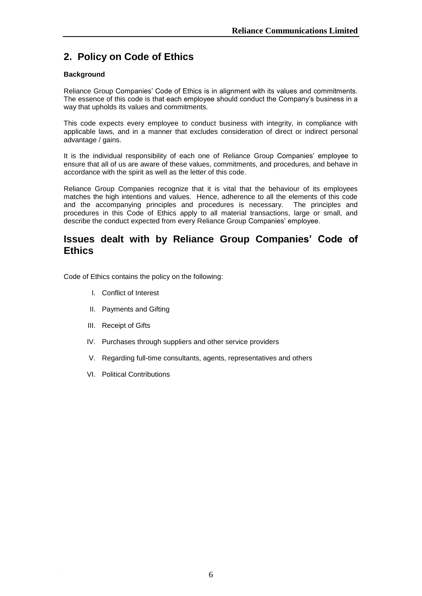# **2. Policy on Code of Ethics**

# **Background**

Reliance Group Companies" Code of Ethics is in alignment with its values and commitments. The essence of this code is that each employee should conduct the Company"s business in a way that upholds its values and commitments.

This code expects every employee to conduct business with integrity, in compliance with applicable laws, and in a manner that excludes consideration of direct or indirect personal advantage / gains.

It is the individual responsibility of each one of Reliance Group Companies" employee to ensure that all of us are aware of these values, commitments, and procedures, and behave in accordance with the spirit as well as the letter of this code.

Reliance Group Companies recognize that it is vital that the behaviour of its employees matches the high intentions and values. Hence, adherence to all the elements of this code and the accompanying principles and procedures is necessary. The principles and procedures in this Code of Ethics apply to all material transactions, large or small, and describe the conduct expected from every Reliance Group Companies' employee.

# **Issues dealt with by Reliance Group Companies" Code of Ethics**

Code of Ethics contains the policy on the following:

- I. Conflict of Interest
- II. Payments and Gifting
- III. Receipt of Gifts
- IV. Purchases through suppliers and other service providers
- V. Regarding full-time consultants, agents, representatives and others
- VI. Political Contributions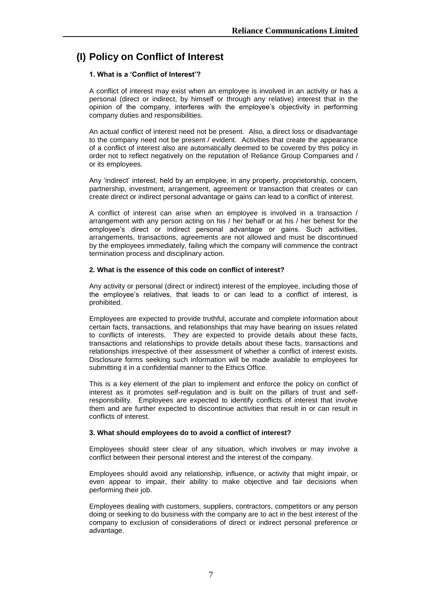# **(I) Policy on Conflict of Interest**

# **1. What is a "Conflict of Interest"?**

A conflict of interest may exist when an employee is involved in an activity or has a personal (direct or indirect, by himself or through any relative) interest that in the opinion of the company, interferes with the employee"s objectivity in performing company duties and responsibilities.

An actual conflict of interest need not be present. Also, a direct loss or disadvantage to the company need not be present / evident. Activities that create the appearance of a conflict of interest also are automatically deemed to be covered by this policy in order not to reflect negatively on the reputation of Reliance Group Companies and / or its employees.

Any "indirect" interest, held by an employee, in any property, proprietorship, concern, partnership, investment, arrangement, agreement or transaction that creates or can create direct or indirect personal advantage or gains can lead to a conflict of interest.

A conflict of interest can arise when an employee is involved in a transaction / arrangement with any person acting on his / her behalf or at his / her behest for the employee"s direct or indirect personal advantage or gains. Such activities, arrangements, transactions, agreements are not allowed and must be discontinued by the employees immediately, failing which the company will commence the contract termination process and disciplinary action.

# **2. What is the essence of this code on conflict of interest?**

Any activity or personal (direct or indirect) interest of the employee, including those of the employee"s relatives, that leads to or can lead to a conflict of interest, is prohibited.

Employees are expected to provide truthful, accurate and complete information about certain facts, transactions, and relationships that may have bearing on issues related to conflicts of interests. They are expected to provide details about these facts, transactions and relationships to provide details about these facts, transactions and relationships irrespective of their assessment of whether a conflict of interest exists. Disclosure forms seeking such information will be made available to employees for submitting it in a confidential manner to the Ethics Office.

This is a key element of the plan to implement and enforce the policy on conflict of interest as it promotes self-regulation and is built on the pillars of trust and selfresponsibility. Employees are expected to identify conflicts of interest that involve them and are further expected to discontinue activities that result in or can result in conflicts of interest.

# **3. What should employees do to avoid a conflict of interest?**

Employees should steer clear of any situation, which involves or may involve a conflict between their personal interest and the interest of the company.

Employees should avoid any relationship, influence, or activity that might impair, or even appear to impair, their ability to make objective and fair decisions when performing their job.

Employees dealing with customers, suppliers, contractors, competitors or any person doing or seeking to do business with the company are to act in the best interest of the company to exclusion of considerations of direct or indirect personal preference or advantage.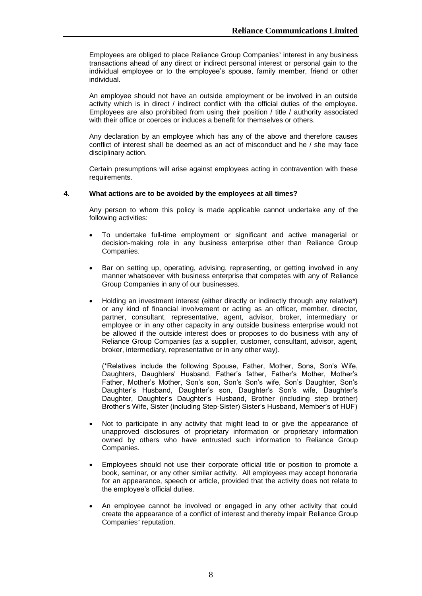Employees are obliged to place Reliance Group Companies' interest in any business transactions ahead of any direct or indirect personal interest or personal gain to the individual employee or to the employee's spouse, family member, friend or other individual.

An employee should not have an outside employment or be involved in an outside activity which is in direct / indirect conflict with the official duties of the employee. Employees are also prohibited from using their position / title / authority associated with their office or coerces or induces a benefit for themselves or others.

Any declaration by an employee which has any of the above and therefore causes conflict of interest shall be deemed as an act of misconduct and he / she may face disciplinary action.

Certain presumptions will arise against employees acting in contravention with these requirements.

#### **4. What actions are to be avoided by the employees at all times?**

Any person to whom this policy is made applicable cannot undertake any of the following activities:

- To undertake full-time employment or significant and active managerial or decision-making role in any business enterprise other than Reliance Group Companies.
- Bar on setting up, operating, advising, representing, or getting involved in any manner whatsoever with business enterprise that competes with any of Reliance Group Companies in any of our businesses.
- Holding an investment interest (either directly or indirectly through any relative\*) or any kind of financial involvement or acting as an officer, member, director, partner, consultant, representative, agent, advisor, broker, intermediary or employee or in any other capacity in any outside business enterprise would not be allowed if the outside interest does or proposes to do business with any of Reliance Group Companies (as a supplier, customer, consultant, advisor, agent, broker, intermediary, representative or in any other way).

(\*Relatives include the following Spouse, Father, Mother, Sons, Son"s Wife, Daughters, Daughters' Husband, Father's father, Father's Mother, Mother's Father, Mother's Mother, Son's son, Son's Son's wife, Son's Daughter, Son's Daughter's Husband, Daughter's son, Daughter's Son's wife, Daughter's Daughter, Daughter"s Daughter"s Husband, Brother (including step brother) Brother"s Wife, Sister (including Step-Sister) Sister"s Husband, Member"s of HUF)

- Not to participate in any activity that might lead to or give the appearance of unapproved disclosures of proprietary information or proprietary information owned by others who have entrusted such information to Reliance Group Companies.
- Employees should not use their corporate official title or position to promote a book, seminar, or any other similar activity. All employees may accept honoraria for an appearance, speech or article, provided that the activity does not relate to the employee's official duties.
- An employee cannot be involved or engaged in any other activity that could create the appearance of a conflict of interest and thereby impair Reliance Group Companies' reputation.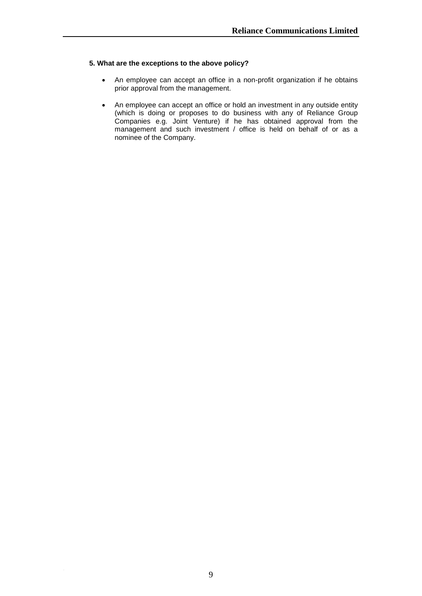# **5. What are the exceptions to the above policy?**

- An employee can accept an office in a non-profit organization if he obtains prior approval from the management.
- An employee can accept an office or hold an investment in any outside entity (which is doing or proposes to do business with any of Reliance Group Companies e.g. Joint Venture) if he has obtained approval from the management and such investment / office is held on behalf of or as a nominee of the Company.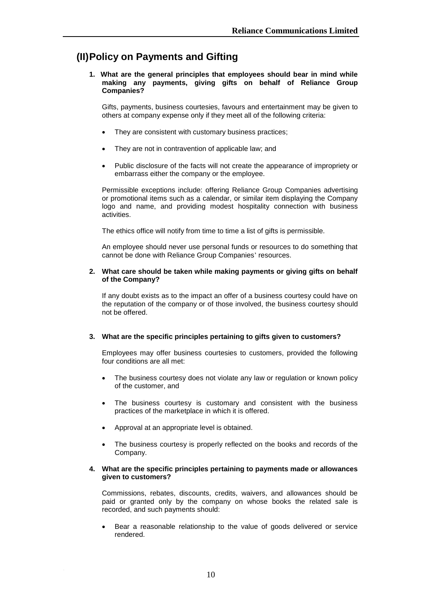# **(II)Policy on Payments and Gifting**

**1. What are the general principles that employees should bear in mind while making any payments, giving gifts on behalf of Reliance Group Companies?**

Gifts, payments, business courtesies, favours and entertainment may be given to others at company expense only if they meet all of the following criteria:

- They are consistent with customary business practices;
- They are not in contravention of applicable law; and
- Public disclosure of the facts will not create the appearance of impropriety or embarrass either the company or the employee.

Permissible exceptions include: offering Reliance Group Companies advertising or promotional items such as a calendar, or similar item displaying the Company logo and name, and providing modest hospitality connection with business activities.

The ethics office will notify from time to time a list of gifts is permissible.

An employee should never use personal funds or resources to do something that cannot be done with Reliance Group Companies' resources.

#### **2. What care should be taken while making payments or giving gifts on behalf of the Company?**

If any doubt exists as to the impact an offer of a business courtesy could have on the reputation of the company or of those involved, the business courtesy should not be offered.

# **3. What are the specific principles pertaining to gifts given to customers?**

Employees may offer business courtesies to customers, provided the following four conditions are all met:

- The business courtesy does not violate any law or regulation or known policy of the customer, and
- The business courtesy is customary and consistent with the business practices of the marketplace in which it is offered.
- Approval at an appropriate level is obtained.
- The business courtesy is properly reflected on the books and records of the Company.

#### **4. What are the specific principles pertaining to payments made or allowances given to customers?**

Commissions, rebates, discounts, credits, waivers, and allowances should be paid or granted only by the company on whose books the related sale is recorded, and such payments should:

 Bear a reasonable relationship to the value of goods delivered or service rendered.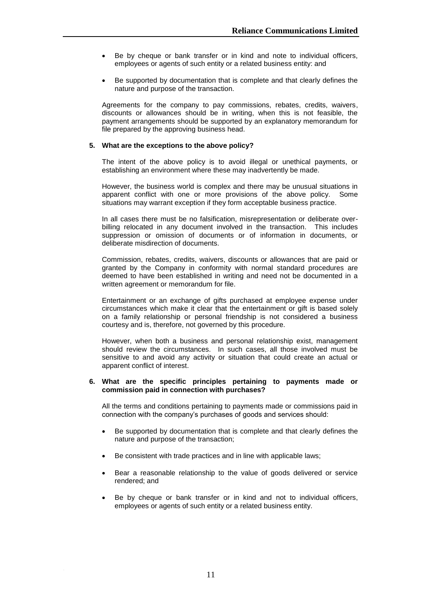- Be by cheque or bank transfer or in kind and note to individual officers, employees or agents of such entity or a related business entity: and
- Be supported by documentation that is complete and that clearly defines the nature and purpose of the transaction.

Agreements for the company to pay commissions, rebates, credits, waivers, discounts or allowances should be in writing, when this is not feasible, the payment arrangements should be supported by an explanatory memorandum for file prepared by the approving business head.

#### **5. What are the exceptions to the above policy?**

The intent of the above policy is to avoid illegal or unethical payments, or establishing an environment where these may inadvertently be made.

However, the business world is complex and there may be unusual situations in apparent conflict with one or more provisions of the above policy. Some situations may warrant exception if they form acceptable business practice.

In all cases there must be no falsification, misrepresentation or deliberate overbilling relocated in any document involved in the transaction. This includes suppression or omission of documents or of information in documents, or deliberate misdirection of documents.

Commission, rebates, credits, waivers, discounts or allowances that are paid or granted by the Company in conformity with normal standard procedures are deemed to have been established in writing and need not be documented in a written agreement or memorandum for file.

Entertainment or an exchange of gifts purchased at employee expense under circumstances which make it clear that the entertainment or gift is based solely on a family relationship or personal friendship is not considered a business courtesy and is, therefore, not governed by this procedure.

However, when both a business and personal relationship exist, management should review the circumstances. In such cases, all those involved must be sensitive to and avoid any activity or situation that could create an actual or apparent conflict of interest.

#### **6. What are the specific principles pertaining to payments made or commission paid in connection with purchases?**

All the terms and conditions pertaining to payments made or commissions paid in connection with the company"s purchases of goods and services should:

- Be supported by documentation that is complete and that clearly defines the nature and purpose of the transaction;
- Be consistent with trade practices and in line with applicable laws;
- Bear a reasonable relationship to the value of goods delivered or service rendered; and
- Be by cheque or bank transfer or in kind and not to individual officers, employees or agents of such entity or a related business entity.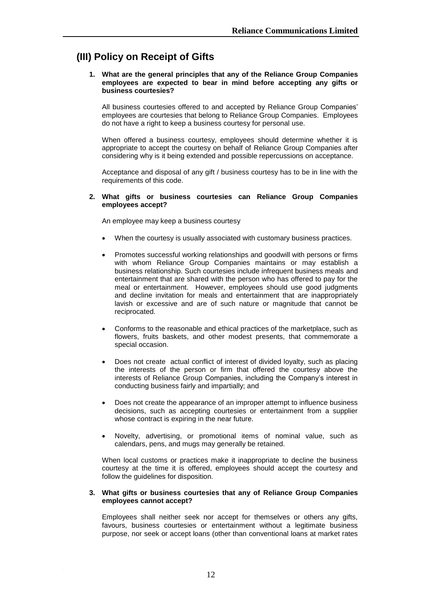# **(III) Policy on Receipt of Gifts**

#### **1. What are the general principles that any of the Reliance Group Companies employees are expected to bear in mind before accepting any gifts or business courtesies?**

All business courtesies offered to and accepted by Reliance Group Companies" employees are courtesies that belong to Reliance Group Companies. Employees do not have a right to keep a business courtesy for personal use.

When offered a business courtesy, employees should determine whether it is appropriate to accept the courtesy on behalf of Reliance Group Companies after considering why is it being extended and possible repercussions on acceptance.

Acceptance and disposal of any gift / business courtesy has to be in line with the requirements of this code.

#### **2. What gifts or business courtesies can Reliance Group Companies employees accept?**

An employee may keep a business courtesy

- When the courtesy is usually associated with customary business practices.
- Promotes successful working relationships and goodwill with persons or firms with whom Reliance Group Companies maintains or may establish a business relationship. Such courtesies include infrequent business meals and entertainment that are shared with the person who has offered to pay for the meal or entertainment. However, employees should use good judgments and decline invitation for meals and entertainment that are inappropriately lavish or excessive and are of such nature or magnitude that cannot be reciprocated.
- Conforms to the reasonable and ethical practices of the marketplace, such as flowers, fruits baskets, and other modest presents, that commemorate a special occasion.
- Does not create actual conflict of interest of divided loyalty, such as placing the interests of the person or firm that offered the courtesy above the interests of Reliance Group Companies, including the Company"s interest in conducting business fairly and impartially; and
- Does not create the appearance of an improper attempt to influence business decisions, such as accepting courtesies or entertainment from a supplier whose contract is expiring in the near future.
- Novelty, advertising, or promotional items of nominal value, such as calendars, pens, and mugs may generally be retained.

When local customs or practices make it inappropriate to decline the business courtesy at the time it is offered, employees should accept the courtesy and follow the guidelines for disposition.

#### **3. What gifts or business courtesies that any of Reliance Group Companies employees cannot accept?**

Employees shall neither seek nor accept for themselves or others any gifts, favours, business courtesies or entertainment without a legitimate business purpose, nor seek or accept loans (other than conventional loans at market rates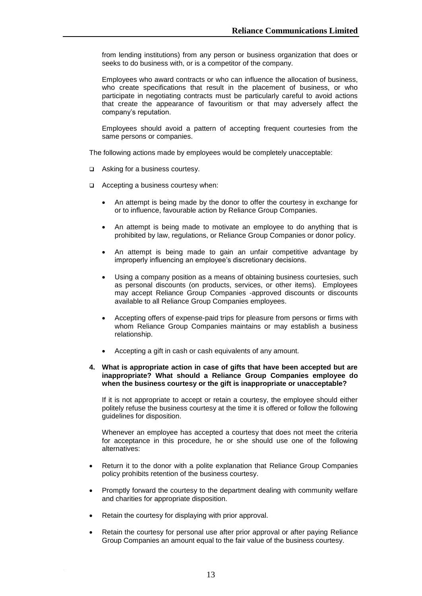from lending institutions) from any person or business organization that does or seeks to do business with, or is a competitor of the company.

Employees who award contracts or who can influence the allocation of business, who create specifications that result in the placement of business, or who participate in negotiating contracts must be particularly careful to avoid actions that create the appearance of favouritism or that may adversely affect the company's reputation.

Employees should avoid a pattern of accepting frequent courtesies from the same persons or companies.

The following actions made by employees would be completely unacceptable:

- □ Asking for a business courtesy.
- $\Box$  Accepting a business courtesy when:
	- An attempt is being made by the donor to offer the courtesy in exchange for or to influence, favourable action by Reliance Group Companies.
	- An attempt is being made to motivate an employee to do anything that is prohibited by law, regulations, or Reliance Group Companies or donor policy.
	- An attempt is being made to gain an unfair competitive advantage by improperly influencing an employee's discretionary decisions.
	- Using a company position as a means of obtaining business courtesies, such as personal discounts (on products, services, or other items). Employees may accept Reliance Group Companies -approved discounts or discounts available to all Reliance Group Companies employees.
	- Accepting offers of expense-paid trips for pleasure from persons or firms with whom Reliance Group Companies maintains or may establish a business relationship.
	- Accepting a gift in cash or cash equivalents of any amount.

#### **4. What is appropriate action in case of gifts that have been accepted but are inappropriate? What should a Reliance Group Companies employee do when the business courtesy or the gift is inappropriate or unacceptable?**

If it is not appropriate to accept or retain a courtesy, the employee should either politely refuse the business courtesy at the time it is offered or follow the following guidelines for disposition.

Whenever an employee has accepted a courtesy that does not meet the criteria for acceptance in this procedure, he or she should use one of the following alternatives:

- Return it to the donor with a polite explanation that Reliance Group Companies policy prohibits retention of the business courtesy.
- Promptly forward the courtesy to the department dealing with community welfare and charities for appropriate disposition.
- Retain the courtesy for displaying with prior approval.
- Retain the courtesy for personal use after prior approval or after paying Reliance Group Companies an amount equal to the fair value of the business courtesy.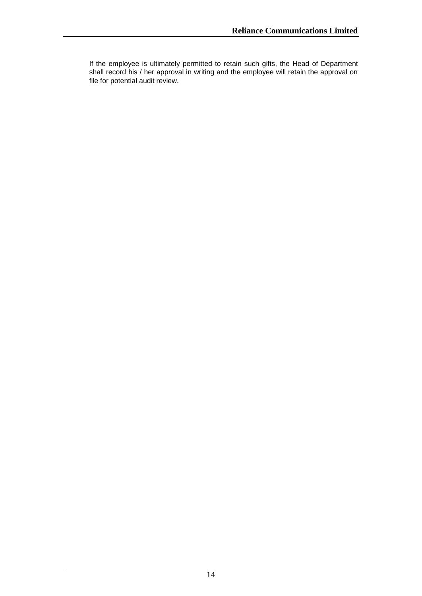If the employee is ultimately permitted to retain such gifts, the Head of Department shall record his / her approval in writing and the employee will retain the approval on file for potential audit review.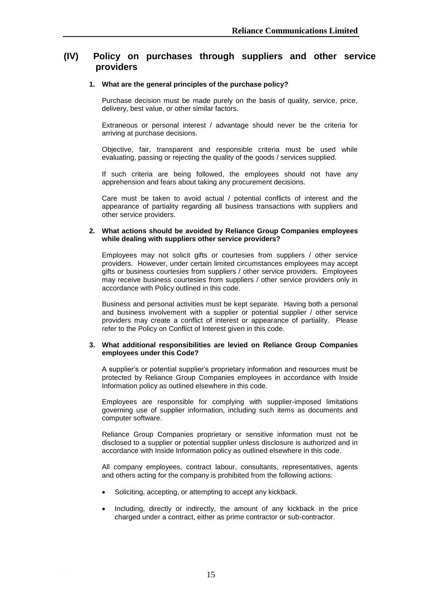# **(IV) Policy on purchases through suppliers and other service providers**

#### **1. What are the general principles of the purchase policy?**

Purchase decision must be made purely on the basis of quality, service, price, delivery, best value, or other similar factors.

Extraneous or personal interest / advantage should never be the criteria for arriving at purchase decisions.

Objective, fair, transparent and responsible criteria must be used while evaluating, passing or rejecting the quality of the goods / services supplied.

If such criteria are being followed, the employees should not have any apprehension and fears about taking any procurement decisions.

Care must be taken to avoid actual / potential conflicts of interest and the appearance of partiality regarding all business transactions with suppliers and other service providers.

#### **2. What actions should be avoided by Reliance Group Companies employees while dealing with suppliers other service providers?**

Employees may not solicit gifts or courtesies from suppliers / other service providers. However, under certain limited circumstances employees may accept gifts or business courtesies from suppliers / other service providers. Employees may receive business courtesies from suppliers / other service providers only in accordance with Policy outlined in this code.

Business and personal activities must be kept separate. Having both a personal and business involvement with a supplier or potential supplier / other service providers may create a conflict of interest or appearance of partiality. Please refer to the Policy on Conflict of Interest given in this code.

#### **3. What additional responsibilities are levied on Reliance Group Companies employees under this Code?**

A supplier"s or potential supplier"s proprietary information and resources must be protected by Reliance Group Companies employees in accordance with Inside Information policy as outlined elsewhere in this code.

Employees are responsible for complying with supplier-imposed limitations governing use of supplier information, including such items as documents and computer software.

Reliance Group Companies proprietary or sensitive information must not be disclosed to a supplier or potential supplier unless disclosure is authorized and in accordance with Inside Information policy as outlined elsewhere in this code.

All company employees, contract labour, consultants, representatives, agents and others acting for the company is prohibited from the following actions:

- Soliciting, accepting, or attempting to accept any kickback.
- Including, directly or indirectly, the amount of any kickback in the price charged under a contract, either as prime contractor or sub-contractor.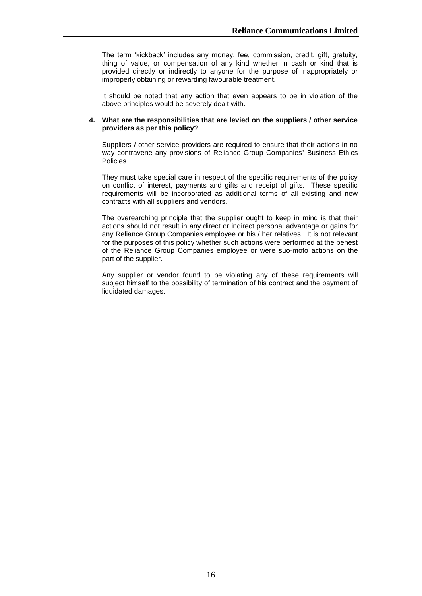The term "kickback" includes any money, fee, commission, credit, gift, gratuity, thing of value, or compensation of any kind whether in cash or kind that is provided directly or indirectly to anyone for the purpose of inappropriately or improperly obtaining or rewarding favourable treatment.

It should be noted that any action that even appears to be in violation of the above principles would be severely dealt with.

#### **4. What are the responsibilities that are levied on the suppliers / other service providers as per this policy?**

Suppliers / other service providers are required to ensure that their actions in no way contravene any provisions of Reliance Group Companies' Business Ethics Policies.

They must take special care in respect of the specific requirements of the policy on conflict of interest, payments and gifts and receipt of gifts. These specific requirements will be incorporated as additional terms of all existing and new contracts with all suppliers and vendors.

The overearching principle that the supplier ought to keep in mind is that their actions should not result in any direct or indirect personal advantage or gains for any Reliance Group Companies employee or his / her relatives. It is not relevant for the purposes of this policy whether such actions were performed at the behest of the Reliance Group Companies employee or were suo-moto actions on the part of the supplier.

Any supplier or vendor found to be violating any of these requirements will subject himself to the possibility of termination of his contract and the payment of liquidated damages.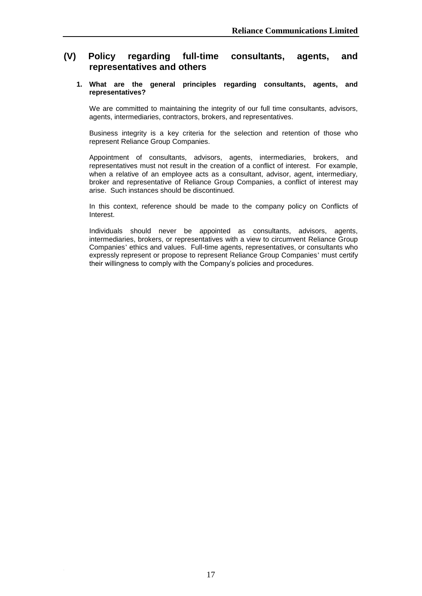# **(V) Policy regarding full-time consultants, agents, and representatives and others**

#### **1. What are the general principles regarding consultants, agents, and representatives?**

We are committed to maintaining the integrity of our full time consultants, advisors, agents, intermediaries, contractors, brokers, and representatives.

Business integrity is a key criteria for the selection and retention of those who represent Reliance Group Companies.

Appointment of consultants, advisors, agents, intermediaries, brokers, and representatives must not result in the creation of a conflict of interest. For example, when a relative of an employee acts as a consultant, advisor, agent, intermediary, broker and representative of Reliance Group Companies, a conflict of interest may arise. Such instances should be discontinued.

In this context, reference should be made to the company policy on Conflicts of Interest.

Individuals should never be appointed as consultants, advisors, agents, intermediaries, brokers, or representatives with a view to circumvent Reliance Group Companies' ethics and values. Full-time agents, representatives, or consultants who expressly represent or propose to represent Reliance Group Companies' must certify their willingness to comply with the Company"s policies and procedures.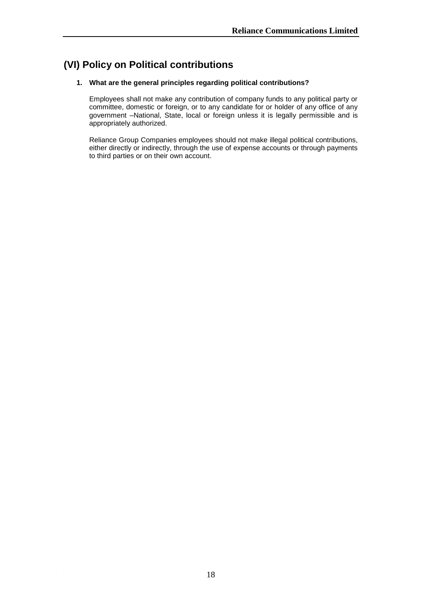# **(VI) Policy on Political contributions**

# **1. What are the general principles regarding political contributions?**

Employees shall not make any contribution of company funds to any political party or committee, domestic or foreign, or to any candidate for or holder of any office of any government –National, State, local or foreign unless it is legally permissible and is appropriately authorized.

Reliance Group Companies employees should not make illegal political contributions, either directly or indirectly, through the use of expense accounts or through payments to third parties or on their own account.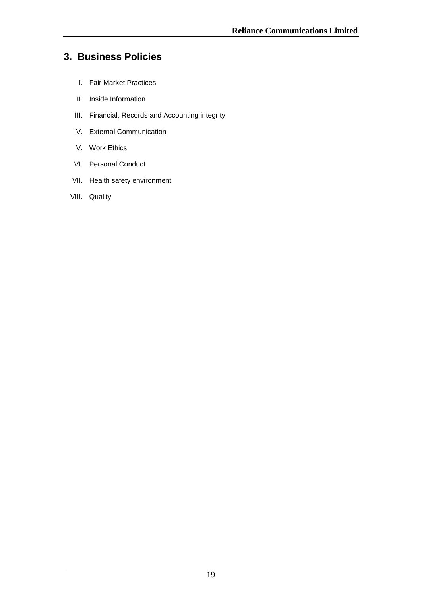# **3. Business Policies**

- I. Fair Market Practices
- II. Inside Information
- III. Financial, Records and Accounting integrity
- IV. External Communication
- V. Work Ethics
- VI. Personal Conduct
- VII. Health safety environment
- VIII. Quality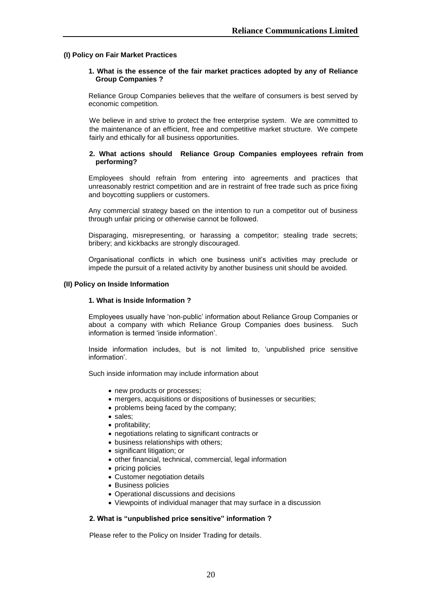#### **(I) Policy on Fair Market Practices**

#### **1. What is the essence of the fair market practices adopted by any of Reliance Group Companies ?**

Reliance Group Companies believes that the welfare of consumers is best served by economic competition.

We believe in and strive to protect the free enterprise system. We are committed to the maintenance of an efficient, free and competitive market structure. We compete fairly and ethically for all business opportunities.

#### **2. What actions should Reliance Group Companies employees refrain from performing?**

Employees should refrain from entering into agreements and practices that unreasonably restrict competition and are in restraint of free trade such as price fixing and boycotting suppliers or customers.

Any commercial strategy based on the intention to run a competitor out of business through unfair pricing or otherwise cannot be followed.

Disparaging, misrepresenting, or harassing a competitor; stealing trade secrets; bribery; and kickbacks are strongly discouraged.

Organisational conflicts in which one business unit"s activities may preclude or impede the pursuit of a related activity by another business unit should be avoided.

#### **(II) Policy on Inside Information**

#### **1. What is Inside Information ?**

Employees usually have "non-public" information about Reliance Group Companies or about a company with which Reliance Group Companies does business. Such information is termed "inside information".

Inside information includes, but is not limited to, "unpublished price sensitive information'.

Such inside information may include information about

- new products or processes;
- mergers, acquisitions or dispositions of businesses or securities;
- problems being faced by the company;
- sales:
- profitability;
- negotiations relating to significant contracts or
- business relationships with others;
- significant litigation; or
- other financial, technical, commercial, legal information
- pricing policies
- Customer negotiation details
- Business policies
- Operational discussions and decisions
- Viewpoints of individual manager that may surface in a discussion

#### **2. What is "unpublished price sensitive" information ?**

Please refer to the Policy on Insider Trading for details.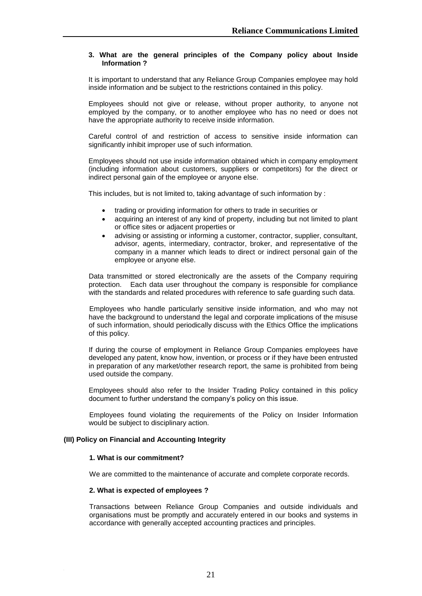### **3. What are the general principles of the Company policy about Inside Information ?**

It is important to understand that any Reliance Group Companies employee may hold inside information and be subject to the restrictions contained in this policy.

Employees should not give or release, without proper authority, to anyone not employed by the company, or to another employee who has no need or does not have the appropriate authority to receive inside information.

Careful control of and restriction of access to sensitive inside information can significantly inhibit improper use of such information.

Employees should not use inside information obtained which in company employment (including information about customers, suppliers or competitors) for the direct or indirect personal gain of the employee or anyone else.

This includes, but is not limited to, taking advantage of such information by :

- trading or providing information for others to trade in securities or
- acquiring an interest of any kind of property, including but not limited to plant or office sites or adjacent properties or
- advising or assisting or informing a customer, contractor, supplier, consultant, advisor, agents, intermediary, contractor, broker, and representative of the company in a manner which leads to direct or indirect personal gain of the employee or anyone else.

Data transmitted or stored electronically are the assets of the Company requiring protection. Each data user throughout the company is responsible for compliance with the standards and related procedures with reference to safe guarding such data.

Employees who handle particularly sensitive inside information, and who may not have the background to understand the legal and corporate implications of the misuse of such information, should periodically discuss with the Ethics Office the implications of this policy.

If during the course of employment in Reliance Group Companies employees have developed any patent, know how, invention, or process or if they have been entrusted in preparation of any market/other research report, the same is prohibited from being used outside the company.

Employees should also refer to the Insider Trading Policy contained in this policy document to further understand the company"s policy on this issue.

Employees found violating the requirements of the Policy on Insider Information would be subject to disciplinary action.

#### **(III) Policy on Financial and Accounting Integrity**

#### **1. What is our commitment?**

We are committed to the maintenance of accurate and complete corporate records.

#### **2. What is expected of employees ?**

Transactions between Reliance Group Companies and outside individuals and organisations must be promptly and accurately entered in our books and systems in accordance with generally accepted accounting practices and principles.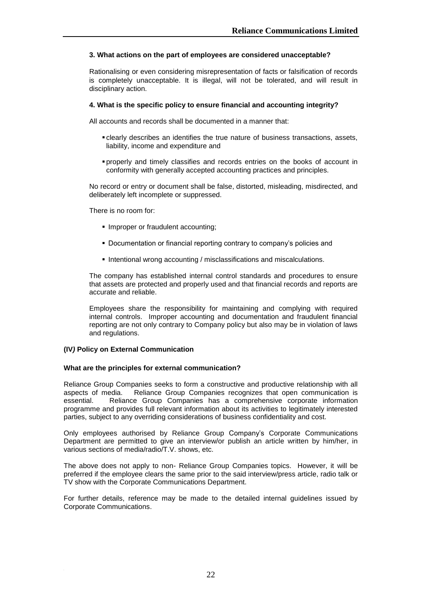# **3. What actions on the part of employees are considered unacceptable?**

Rationalising or even considering misrepresentation of facts or falsification of records is completely unacceptable. It is illegal, will not be tolerated, and will result in disciplinary action.

### **4. What is the specific policy to ensure financial and accounting integrity?**

All accounts and records shall be documented in a manner that:

- clearly describes an identifies the true nature of business transactions, assets, liability, income and expenditure and
- properly and timely classifies and records entries on the books of account in conformity with generally accepted accounting practices and principles.

No record or entry or document shall be false, distorted, misleading, misdirected, and deliberately left incomplete or suppressed.

There is no room for:

- **Improper or fraudulent accounting;**
- Documentation or financial reporting contrary to company"s policies and
- Intentional wrong accounting / misclassifications and miscalculations.

The company has established internal control standards and procedures to ensure that assets are protected and properly used and that financial records and reports are accurate and reliable.

Employees share the responsibility for maintaining and complying with required internal controls. Improper accounting and documentation and fraudulent financial reporting are not only contrary to Company policy but also may be in violation of laws and regulations.

# **(IV***)* **Policy on External Communication**

#### **What are the principles for external communication?**

Reliance Group Companies seeks to form a constructive and productive relationship with all aspects of media. Reliance Group Companies recognizes that open communication is essential. Reliance Group Companies has a comprehensive corporate information programme and provides full relevant information about its activities to legitimately interested parties, subject to any overriding considerations of business confidentiality and cost.

Only employees authorised by Reliance Group Company"s Corporate Communications Department are permitted to give an interview/or publish an article written by him/her, in various sections of media/radio/T.V. shows, etc.

The above does not apply to non- Reliance Group Companies topics. However, it will be preferred if the employee clears the same prior to the said interview/press article, radio talk or TV show with the Corporate Communications Department.

For further details, reference may be made to the detailed internal guidelines issued by Corporate Communications.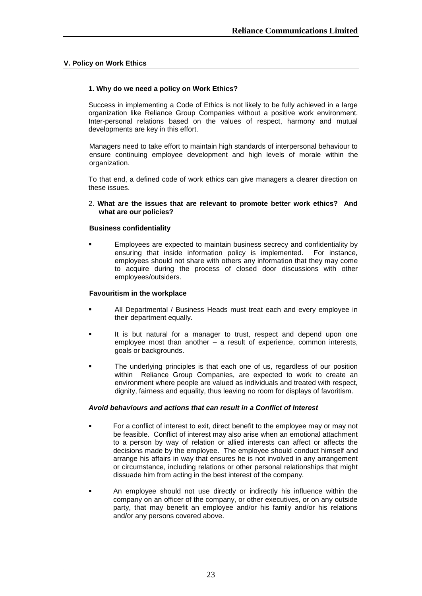# **V. Policy on Work Ethics**

# **1. Why do we need a policy on Work Ethics?**

Success in implementing a Code of Ethics is not likely to be fully achieved in a large organization like Reliance Group Companies without a positive work environment. Inter-personal relations based on the values of respect, harmony and mutual developments are key in this effort.

Managers need to take effort to maintain high standards of interpersonal behaviour to ensure continuing employee development and high levels of morale within the organization.

To that end, a defined code of work ethics can give managers a clearer direction on these issues.

2. **What are the issues that are relevant to promote better work ethics? And what are our policies?**

# **Business confidentiality**

 Employees are expected to maintain business secrecy and confidentiality by ensuring that inside information policy is implemented. For instance, employees should not share with others any information that they may come to acquire during the process of closed door discussions with other employees/outsiders.

#### **Favouritism in the workplace**

- All Departmental / Business Heads must treat each and every employee in their department equally.
- It is but natural for a manager to trust, respect and depend upon one employee most than another – a result of experience, common interests, goals or backgrounds.
- **The underlying principles is that each one of us, regardless of our position** within Reliance Group Companies, are expected to work to create an environment where people are valued as individuals and treated with respect, dignity, fairness and equality, thus leaving no room for displays of favoritism.

# *Avoid behaviours and actions that can result in a Conflict of Interest*

- For a conflict of interest to exit, direct benefit to the employee may or may not be feasible. Conflict of interest may also arise when an emotional attachment to a person by way of relation or allied interests can affect or affects the decisions made by the employee. The employee should conduct himself and arrange his affairs in way that ensures he is not involved in any arrangement or circumstance, including relations or other personal relationships that might dissuade him from acting in the best interest of the company.
- An employee should not use directly or indirectly his influence within the company on an officer of the company, or other executives, or on any outside party, that may benefit an employee and/or his family and/or his relations and/or any persons covered above.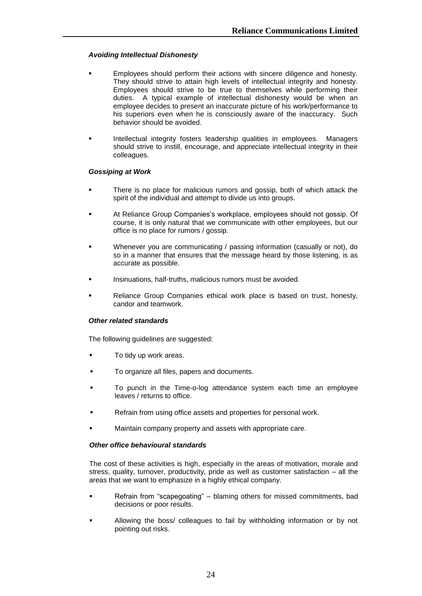# *Avoiding Intellectual Dishonesty*

- Employees should perform their actions with sincere diligence and honesty. They should strive to attain high levels of intellectual integrity and honesty. Employees should strive to be true to themselves while performing their duties. A typical example of intellectual dishonesty would be when an employee decides to present an inaccurate picture of his work/performance to his superiors even when he is consciously aware of the inaccuracy. Such behavior should be avoided.
- Intellectual integrity fosters leadership qualities in employees. Managers should strive to instill, encourage, and appreciate intellectual integrity in their colleagues.

#### *Gossiping at Work*

- There is no place for malicious rumors and gossip, both of which attack the spirit of the individual and attempt to divide us into groups.
- At Reliance Group Companies's workplace, employees should not gossip. Of course, it is only natural that we communicate with other employees, but our office is no place for rumors / gossip.
- Whenever you are communicating / passing information (casually or not), do so in a manner that ensures that the message heard by those listening, is as accurate as possible.
- Insinuations, half-truths, malicious rumors must be avoided.
- Reliance Group Companies ethical work place is based on trust, honesty, candor and teamwork.

# *Other related standards*

The following guidelines are suggested:

- To tidy up work areas.
- To organize all files, papers and documents.
- To punch in the Time-o-log attendance system each time an employee leaves / returns to office.
- Refrain from using office assets and properties for personal work.
- Maintain company property and assets with appropriate care.

#### *Other office behavioural standards*

The cost of these activities is high, especially in the areas of motivation, morale and stress, quality, turnover, productivity, pride as well as customer satisfaction – all the areas that we want to emphasize in a highly ethical company.

- Refrain from "scapegoating" blaming others for missed commitments, bad decisions or poor results.
- Allowing the boss/ colleagues to fail by withholding information or by not pointing out risks.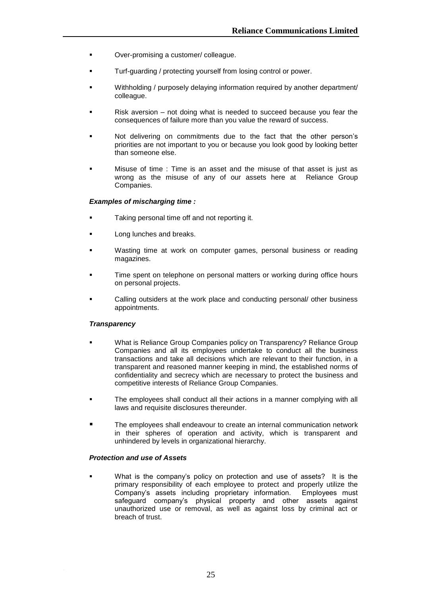- Over-promising a customer/ colleague.
- Turf-guarding / protecting yourself from losing control or power.
- Withholding / purposely delaying information required by another department/ colleague.
- Risk aversion not doing what is needed to succeed because you fear the consequences of failure more than you value the reward of success.
- Not delivering on commitments due to the fact that the other person"s priorities are not important to you or because you look good by looking better than someone else.
- Misuse of time : Time is an asset and the misuse of that asset is just as wrong as the misuse of any of our assets here at Reliance Group Companies.

#### *Examples of mischarging time :*

- Taking personal time off and not reporting it.
- Long lunches and breaks.
- Wasting time at work on computer games, personal business or reading magazines.
- Time spent on telephone on personal matters or working during office hours on personal projects.
- Calling outsiders at the work place and conducting personal/ other business appointments.

#### *Transparency*

- What is Reliance Group Companies policy on Transparency? Reliance Group Companies and all its employees undertake to conduct all the business transactions and take all decisions which are relevant to their function, in a transparent and reasoned manner keeping in mind, the established norms of confidentiality and secrecy which are necessary to protect the business and competitive interests of Reliance Group Companies.
- The employees shall conduct all their actions in a manner complying with all laws and requisite disclosures thereunder.
- The employees shall endeavour to create an internal communication network in their spheres of operation and activity, which is transparent and unhindered by levels in organizational hierarchy.

# *Protection and use of Assets*

 What is the company"s policy on protection and use of assets? It is the primary responsibility of each employee to protect and properly utilize the Company"s assets including proprietary information. Employees must safeguard company"s physical property and other assets against unauthorized use or removal, as well as against loss by criminal act or breach of trust.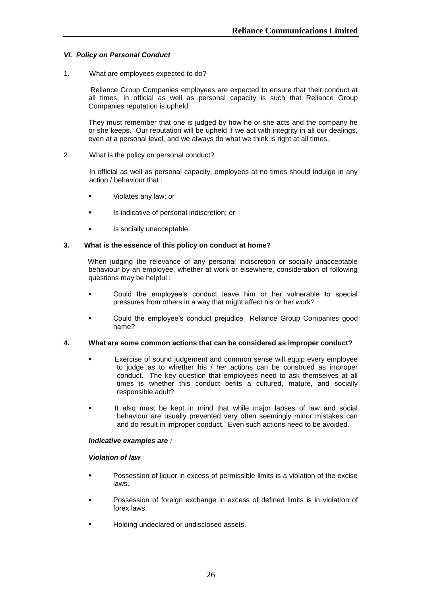# *VI. Policy on Personal Conduct*

1. What are employees expected to do?

Reliance Group Companies employees are expected to ensure that their conduct at all times, in official as well as personal capacity is such that Reliance Group Companies reputation is upheld.

They must remember that one is judged by how he or she acts and the company he or she keeps. Our reputation will be upheld if we act with integrity in all our dealings, even at a personal level, and we always do what we think is right at all times.

#### 2. What is the policy on personal conduct?

In official as well as personal capacity, employees at no times should indulge in any action / behaviour that :

- **violates any law; or**
- **IS indicative of personal indiscretion; or**
- **Is socially unacceptable.**

#### **3. What is the essence of this policy on conduct at home?**

 When judging the relevance of any personal indiscretion or socially unacceptable behaviour by an employee, whether at work or elsewhere, consideration of following questions may be helpful :

- Could the employee"s conduct leave him or her vulnerable to special pressures from others in a way that might affect his or her work?
- Could the employee"s conduct prejudice Reliance Group Companies good name?

#### **4. What are some common actions that can be considered as improper conduct?**

- Exercise of sound judgement and common sense will equip every employee to judge as to whether his / her actions can be construed as improper conduct. The key question that employees need to ask themselves at all times is whether this conduct befits a cultured, mature, and socially responsible adult?
- It also must be kept in mind that while major lapses of law and social behaviour are usually prevented very often seemingly minor mistakes can and do result in improper conduct. Even such actions need to be avoided.

#### *Indicative examples are :*

#### *Violation of law*

- Possession of liquor in excess of permissible limits is a violation of the excise laws.
- Possession of foreign exchange in excess of defined limits is in violation of forex laws.
- Holding undeclared or undisclosed assets.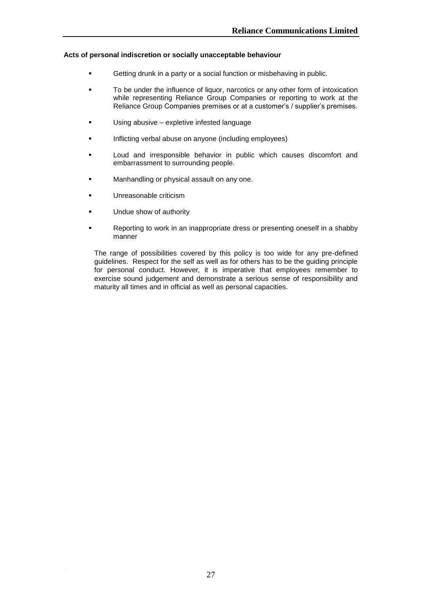# **Acts of personal indiscretion or socially unacceptable behaviour**

- Getting drunk in a party or a social function or misbehaving in public.
- To be under the influence of liquor, narcotics or any other form of intoxication while representing Reliance Group Companies or reporting to work at the Reliance Group Companies premises or at a customer"s / supplier"s premises.
- Using abusive expletive infested language
- Inflicting verbal abuse on anyone (including employees)
- Loud and irresponsible behavior in public which causes discomfort and embarrassment to surrounding people.
- **Manhandling or physical assault on any one.**
- **Unreasonable criticism**
- **Undue show of authority**
- Reporting to work in an inappropriate dress or presenting oneself in a shabby manner

The range of possibilities covered by this policy is too wide for any pre-defined guidelines. Respect for the self as well as for others has to be the guiding principle for personal conduct. However, it is imperative that employees remember to exercise sound judgement and demonstrate a serious sense of responsibility and maturity all times and in official as well as personal capacities.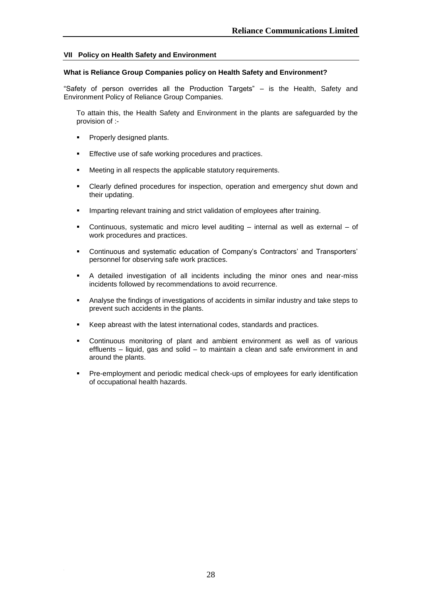# **VII Policy on Health Safety and Environment**

#### **What is Reliance Group Companies policy on Health Safety and Environment?**

"Safety of person overrides all the Production Targets" – is the Health, Safety and Environment Policy of Reliance Group Companies.

To attain this, the Health Safety and Environment in the plants are safeguarded by the provision of :-

- Properly designed plants.
- Effective use of safe working procedures and practices.
- Meeting in all respects the applicable statutory requirements.
- Clearly defined procedures for inspection, operation and emergency shut down and their updating.
- Imparting relevant training and strict validation of employees after training.
- Continuous, systematic and micro level auditing internal as well as external of work procedures and practices.
- Continuous and systematic education of Company's Contractors' and Transporters' personnel for observing safe work practices.
- A detailed investigation of all incidents including the minor ones and near-miss incidents followed by recommendations to avoid recurrence.
- Analyse the findings of investigations of accidents in similar industry and take steps to prevent such accidents in the plants.
- Keep abreast with the latest international codes, standards and practices.
- Continuous monitoring of plant and ambient environment as well as of various effluents – liquid, gas and solid – to maintain a clean and safe environment in and around the plants.
- Pre-employment and periodic medical check-ups of employees for early identification of occupational health hazards.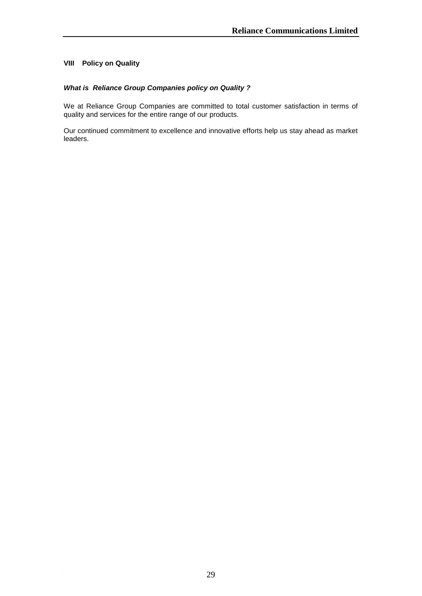# **VIII Policy on Quality**

# *What is Reliance Group Companies policy on Quality ?*

We at Reliance Group Companies are committed to total customer satisfaction in terms of quality and services for the entire range of our products.

Our continued commitment to excellence and innovative efforts help us stay ahead as market leaders.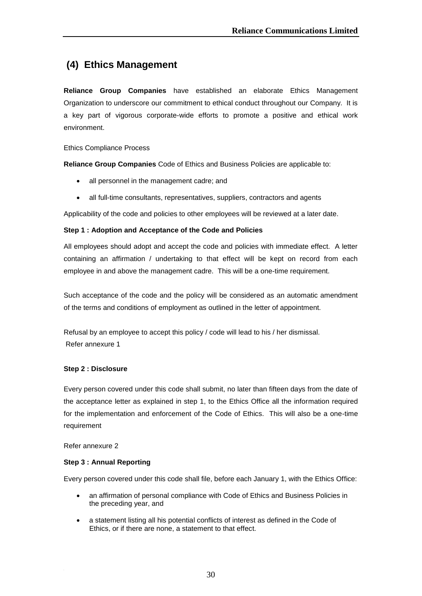# **(4) Ethics Management**

**Reliance Group Companies** have established an elaborate Ethics Management Organization to underscore our commitment to ethical conduct throughout our Company. It is a key part of vigorous corporate-wide efforts to promote a positive and ethical work environment.

Ethics Compliance Process

**Reliance Group Companies** Code of Ethics and Business Policies are applicable to:

- all personnel in the management cadre; and
- all full-time consultants, representatives, suppliers, contractors and agents

Applicability of the code and policies to other employees will be reviewed at a later date.

# **Step 1 : Adoption and Acceptance of the Code and Policies**

All employees should adopt and accept the code and policies with immediate effect. A letter containing an affirmation / undertaking to that effect will be kept on record from each employee in and above the management cadre. This will be a one-time requirement.

Such acceptance of the code and the policy will be considered as an automatic amendment of the terms and conditions of employment as outlined in the letter of appointment.

Refusal by an employee to accept this policy / code will lead to his / her dismissal. Refer annexure 1

# **Step 2 : Disclosure**

Every person covered under this code shall submit, no later than fifteen days from the date of the acceptance letter as explained in step 1, to the Ethics Office all the information required for the implementation and enforcement of the Code of Ethics. This will also be a one-time requirement

Refer annexure 2

# **Step 3 : Annual Reporting**

Every person covered under this code shall file, before each January 1, with the Ethics Office:

- an affirmation of personal compliance with Code of Ethics and Business Policies in the preceding year, and
- a statement listing all his potential conflicts of interest as defined in the Code of Ethics, or if there are none, a statement to that effect.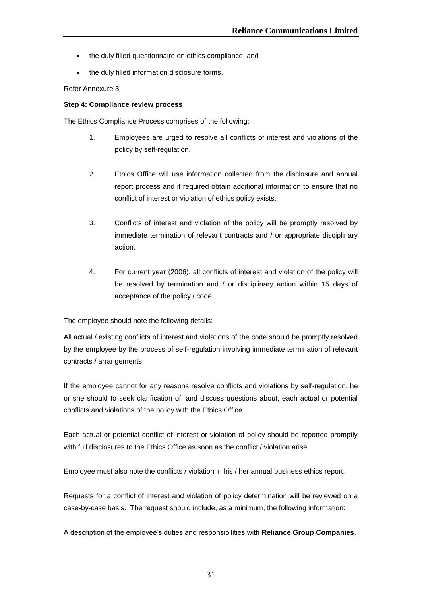- the duly filled questionnaire on ethics compliance; and
- the duly filled information disclosure forms.

# Refer Annexure 3

# **Step 4: Compliance review process**

The Ethics Compliance Process comprises of the following:

- 1. Employees are urged to resolve all conflicts of interest and violations of the policy by self-regulation.
- 2. Ethics Office will use information collected from the disclosure and annual report process and if required obtain additional information to ensure that no conflict of interest or violation of ethics policy exists.
- 3. Conflicts of interest and violation of the policy will be promptly resolved by immediate termination of relevant contracts and / or appropriate disciplinary action.
- 4. For current year (2006), all conflicts of interest and violation of the policy will be resolved by termination and / or disciplinary action within 15 days of acceptance of the policy / code.

The employee should note the following details:

All actual / existing conflicts of interest and violations of the code should be promptly resolved by the employee by the process of self-regulation involving immediate termination of relevant contracts / arrangements.

If the employee cannot for any reasons resolve conflicts and violations by self-regulation, he or she should to seek clarification of, and discuss questions about, each actual or potential conflicts and violations of the policy with the Ethics Office.

Each actual or potential conflict of interest or violation of policy should be reported promptly with full disclosures to the Ethics Office as soon as the conflict / violation arise.

Employee must also note the conflicts / violation in his / her annual business ethics report.

Requests for a conflict of interest and violation of policy determination will be reviewed on a case-by-case basis. The request should include, as a minimum, the following information:

A description of the employee"s duties and responsibilities with **Reliance Group Companies**.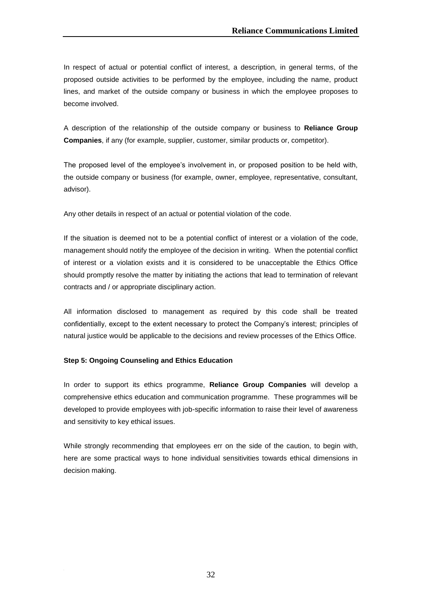In respect of actual or potential conflict of interest, a description, in general terms, of the proposed outside activities to be performed by the employee, including the name, product lines, and market of the outside company or business in which the employee proposes to become involved.

A description of the relationship of the outside company or business to **Reliance Group Companies**, if any (for example, supplier, customer, similar products or, competitor).

The proposed level of the employee"s involvement in, or proposed position to be held with, the outside company or business (for example, owner, employee, representative, consultant, advisor).

Any other details in respect of an actual or potential violation of the code.

If the situation is deemed not to be a potential conflict of interest or a violation of the code, management should notify the employee of the decision in writing. When the potential conflict of interest or a violation exists and it is considered to be unacceptable the Ethics Office should promptly resolve the matter by initiating the actions that lead to termination of relevant contracts and / or appropriate disciplinary action.

All information disclosed to management as required by this code shall be treated confidentially, except to the extent necessary to protect the Company"s interest; principles of natural justice would be applicable to the decisions and review processes of the Ethics Office.

# **Step 5: Ongoing Counseling and Ethics Education**

In order to support its ethics programme, **Reliance Group Companies** will develop a comprehensive ethics education and communication programme. These programmes will be developed to provide employees with job-specific information to raise their level of awareness and sensitivity to key ethical issues.

While strongly recommending that employees err on the side of the caution, to begin with, here are some practical ways to hone individual sensitivities towards ethical dimensions in decision making.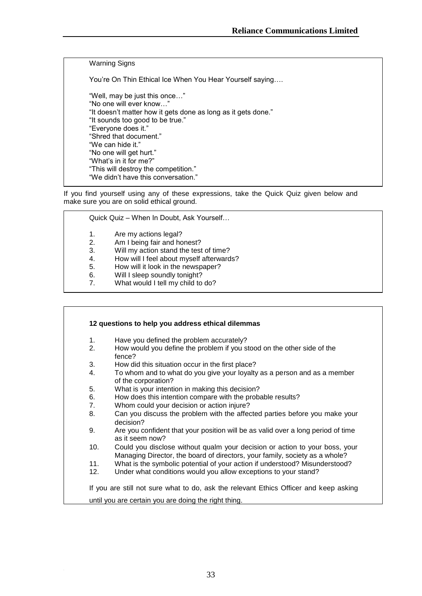Warning Signs

You"re On Thin Ethical Ice When You Hear Yourself saying….

"Well, may be just this once…" "No one will ever know…" "It doesn"t matter how it gets done as long as it gets done." "It sounds too good to be true." "Everyone does it." "Shred that document." "We can hide it." "No one will get hurt." "What"s in it for me?" "This will destroy the competition." "We didn"t have this conversation."

If you find yourself using any of these expressions, take the Quick Quiz given below and make sure you are on solid ethical ground.

Quick Quiz – When In Doubt, Ask Yourself…

- 1. Are my actions legal?
- 2. Am I being fair and honest?
- 3. Will my action stand the test of time?
- 4. How will I feel about myself afterwards?<br>5. How will it look in the newspaper?
- 5. How will it look in the newspaper?<br>6. Will I sleep soundly tonight?
- Will I sleep soundly tonight?
- 7. What would I tell my child to do?

| 1.             | Have you defined the problem accurately?                                                                                                                   |
|----------------|------------------------------------------------------------------------------------------------------------------------------------------------------------|
| 2.             | How would you define the problem if you stood on the other side of the<br>fence?                                                                           |
| 3.             | How did this situation occur in the first place?                                                                                                           |
| 4.             | To whom and to what do you give your loyalty as a person and as a member<br>of the corporation?                                                            |
| 5.             | What is your intention in making this decision?                                                                                                            |
| 6.             | How does this intention compare with the probable results?                                                                                                 |
| 7 <sub>1</sub> | Whom could your decision or action injure?                                                                                                                 |
| 8.             | Can you discuss the problem with the affected parties before you make your<br>decision?                                                                    |
| 9.             | Are you confident that your position will be as valid over a long period of time<br>as it seem now?                                                        |
| 10.            | Could you disclose without qualm your decision or action to your boss, your<br>Managing Director, the board of directors, your family, society as a whole? |
| 11.            | What is the symbolic potential of your action if understood? Misunderstood?                                                                                |
| 12.            | Under what conditions would you allow exceptions to your stand?                                                                                            |
|                | If you are still not sure what to do, ask the relevant Ethics Officer and keep asking                                                                      |
|                | until you are certain you are doing the right thing.                                                                                                       |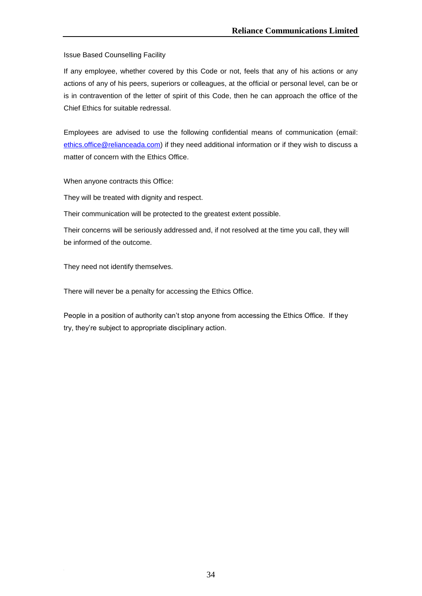Issue Based Counselling Facility

If any employee, whether covered by this Code or not, feels that any of his actions or any actions of any of his peers, superiors or colleagues, at the official or personal level, can be or is in contravention of the letter of spirit of this Code, then he can approach the office of the Chief Ethics for suitable redressal.

Employees are advised to use the following confidential means of communication (email: [ethics.office@relianceada.com\)](mailto:ethics.office@relianceada.com) if they need additional information or if they wish to discuss a matter of concern with the Ethics Office.

When anyone contracts this Office:

They will be treated with dignity and respect.

Their communication will be protected to the greatest extent possible.

Their concerns will be seriously addressed and, if not resolved at the time you call, they will be informed of the outcome.

They need not identify themselves.

There will never be a penalty for accessing the Ethics Office.

People in a position of authority can't stop anyone from accessing the Ethics Office. If they try, they"re subject to appropriate disciplinary action.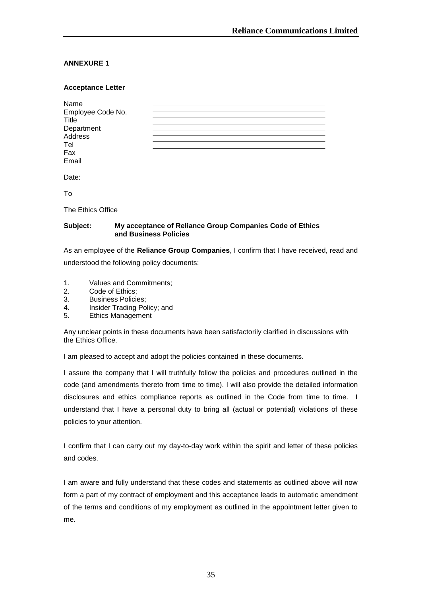# **ANNEXURE 1**

# **Acceptance Letter**

| Name                  |  |  |
|-----------------------|--|--|
| Employee Code No.     |  |  |
| Title                 |  |  |
|                       |  |  |
| Department<br>Address |  |  |
| Tel                   |  |  |
| Fax                   |  |  |
| Email                 |  |  |

Date:

To

The Ethics Office

# **Subject: My acceptance of Reliance Group Companies Code of Ethics and Business Policies**

As an employee of the **Reliance Group Companies**, I confirm that I have received, read and understood the following policy documents:

- 1. Values and Commitments;
- 2. Code of Ethics;
- 3. Business Policies;
- 4. Insider Trading Policy; and
- 5. Ethics Management

Any unclear points in these documents have been satisfactorily clarified in discussions with the Ethics Office.

I am pleased to accept and adopt the policies contained in these documents.

I assure the company that I will truthfully follow the policies and procedures outlined in the code (and amendments thereto from time to time). I will also provide the detailed information disclosures and ethics compliance reports as outlined in the Code from time to time. I understand that I have a personal duty to bring all (actual or potential) violations of these policies to your attention.

I confirm that I can carry out my day-to-day work within the spirit and letter of these policies and codes.

I am aware and fully understand that these codes and statements as outlined above will now form a part of my contract of employment and this acceptance leads to automatic amendment of the terms and conditions of my employment as outlined in the appointment letter given to me.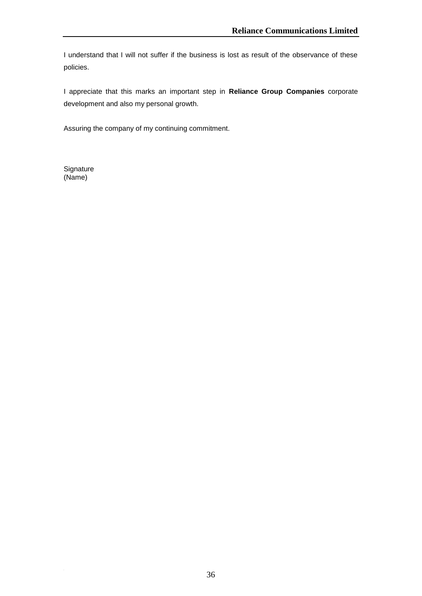I understand that I will not suffer if the business is lost as result of the observance of these policies.

I appreciate that this marks an important step in **Reliance Group Companies** corporate development and also my personal growth.

Assuring the company of my continuing commitment.

**Signature** (Name)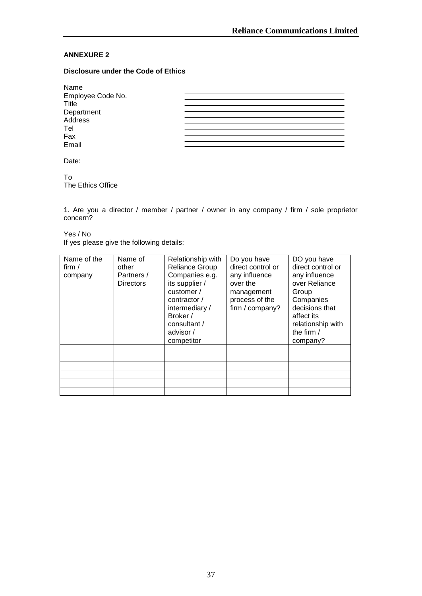# **ANNEXURE 2**

# **Disclosure under the Code of Ethics**

| Name              |  |
|-------------------|--|
| Employee Code No. |  |
| Title             |  |
| Department        |  |
| Address           |  |
| Tel               |  |
| Fax               |  |
| Email             |  |
|                   |  |

Date:

To The Ethics Office

1. Are you a director / member / partner / owner in any company / firm / sole proprietor concern?

Yes / No If yes please give the following details:

| Name of the<br>firm $/$<br>company | Name of<br>other<br>Partners /<br><b>Directors</b> | Relationship with<br>Reliance Group<br>Companies e.g.<br>its supplier /<br>customer /<br>contractor /<br>intermediary/<br>Broker /<br>consultant /<br>advisor / | Do you have<br>direct control or<br>any influence<br>over the<br>management<br>process of the<br>firm / company? | DO you have<br>direct control or<br>any influence<br>over Reliance<br>Group<br>Companies<br>decisions that<br>affect its<br>relationship with<br>the firm / |
|------------------------------------|----------------------------------------------------|-----------------------------------------------------------------------------------------------------------------------------------------------------------------|------------------------------------------------------------------------------------------------------------------|-------------------------------------------------------------------------------------------------------------------------------------------------------------|
|                                    |                                                    | competitor                                                                                                                                                      |                                                                                                                  | company?                                                                                                                                                    |
|                                    |                                                    |                                                                                                                                                                 |                                                                                                                  |                                                                                                                                                             |
|                                    |                                                    |                                                                                                                                                                 |                                                                                                                  |                                                                                                                                                             |
|                                    |                                                    |                                                                                                                                                                 |                                                                                                                  |                                                                                                                                                             |
|                                    |                                                    |                                                                                                                                                                 |                                                                                                                  |                                                                                                                                                             |
|                                    |                                                    |                                                                                                                                                                 |                                                                                                                  |                                                                                                                                                             |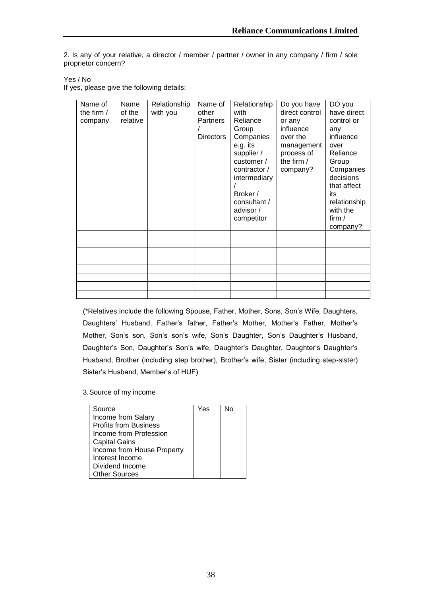2. Is any of your relative, a director / member / partner / owner in any company / firm / sole proprietor concern?

Yes / No

If yes, please give the following details:

| Name of<br>the firm $/$<br>company | Name<br>of the<br>relative | Relationship<br>with you | Name of<br>other<br>Partners<br>Directors | Relationship<br>with<br>Reliance<br>Group<br>Companies<br>e.g. its<br>supplier /<br>customer /<br>contractor /<br>intermediary<br>Broker /<br>consultant /<br>advisor / | Do you have<br>direct control<br>or any<br>influence<br>over the<br>management<br>process of<br>the firm $/$<br>company? | DO you<br>have direct<br>control or<br>any<br>influence<br>over<br>Reliance<br>Group<br>Companies<br>decisions<br>that affect<br>its<br>relationship<br>with the |
|------------------------------------|----------------------------|--------------------------|-------------------------------------------|-------------------------------------------------------------------------------------------------------------------------------------------------------------------------|--------------------------------------------------------------------------------------------------------------------------|------------------------------------------------------------------------------------------------------------------------------------------------------------------|
|                                    |                            |                          |                                           | competitor                                                                                                                                                              |                                                                                                                          | company?                                                                                                                                                         |
|                                    |                            |                          |                                           |                                                                                                                                                                         |                                                                                                                          |                                                                                                                                                                  |
|                                    |                            |                          |                                           |                                                                                                                                                                         |                                                                                                                          |                                                                                                                                                                  |
|                                    |                            |                          |                                           |                                                                                                                                                                         |                                                                                                                          |                                                                                                                                                                  |
|                                    |                            |                          |                                           |                                                                                                                                                                         |                                                                                                                          |                                                                                                                                                                  |
|                                    |                            |                          |                                           |                                                                                                                                                                         |                                                                                                                          |                                                                                                                                                                  |
|                                    |                            |                          |                                           |                                                                                                                                                                         |                                                                                                                          |                                                                                                                                                                  |

(\*Relatives include the following Spouse, Father, Mother, Sons, Son"s Wife, Daughters, Daughters' Husband, Father's father, Father's Mother, Mother's Father, Mother's Mother, Son's son, Son's son's wife, Son's Daughter, Son's Daughter's Husband, Daughter's Son, Daughter's Son's wife, Daughter's Daughter, Daughter's Daughter's Husband, Brother (including step brother), Brother"s wife, Sister (including step-sister) Sister's Husband, Member's of HUF)

3.Source of my income

| Source                       | Yes | N٥ |
|------------------------------|-----|----|
| Income from Salary           |     |    |
| <b>Profits from Business</b> |     |    |
| Income from Profession       |     |    |
| <b>Capital Gains</b>         |     |    |
| Income from House Property   |     |    |
| Interest Income              |     |    |
| Dividend Income              |     |    |
| <b>Other Sources</b>         |     |    |
|                              |     |    |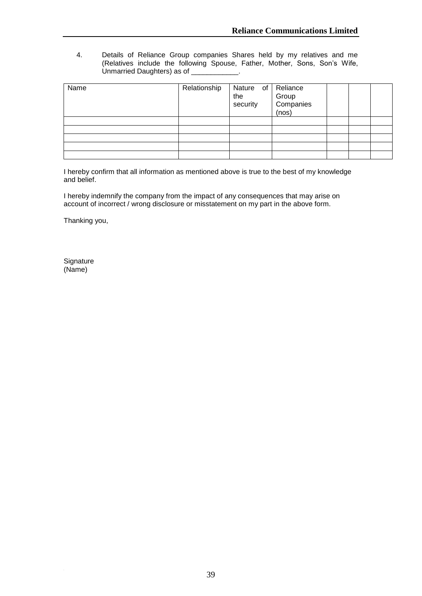4. Details of Reliance Group companies Shares held by my relatives and me (Relatives include the following Spouse, Father, Mother, Sons, Son"s Wife, Unmarried Daughters) as of \_\_\_\_\_\_\_\_\_\_\_\_.

| Name | Relationship | Nature of<br>the<br>security | Reliance<br>Group<br>Companies<br>(nos) |  |  |
|------|--------------|------------------------------|-----------------------------------------|--|--|
|      |              |                              |                                         |  |  |
|      |              |                              |                                         |  |  |
|      |              |                              |                                         |  |  |
|      |              |                              |                                         |  |  |
|      |              |                              |                                         |  |  |

I hereby confirm that all information as mentioned above is true to the best of my knowledge and belief.

I hereby indemnify the company from the impact of any consequences that may arise on account of incorrect / wrong disclosure or misstatement on my part in the above form.

Thanking you,

**Signature** (Name)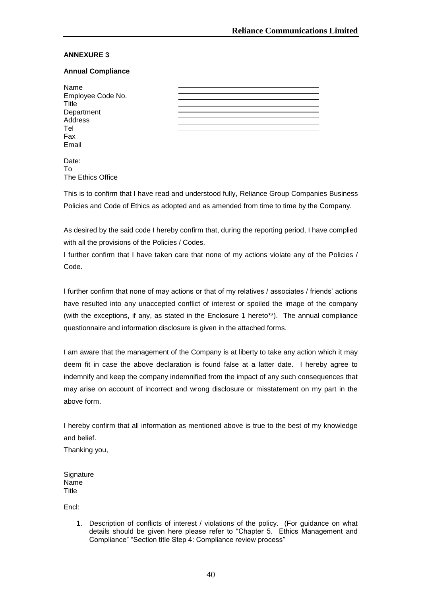# **ANNEXURE 3**

# **Annual Compliance**

| Name              |  |
|-------------------|--|
|                   |  |
| Employee Code No. |  |
| <b>Title</b>      |  |
| Department        |  |
|                   |  |
| Address           |  |
| Tel               |  |
| Fax               |  |
|                   |  |
| Email             |  |
|                   |  |

| Date:             |  |
|-------------------|--|
| Το                |  |
| The Ethics Office |  |

This is to confirm that I have read and understood fully, Reliance Group Companies Business Policies and Code of Ethics as adopted and as amended from time to time by the Company.

As desired by the said code I hereby confirm that, during the reporting period, I have complied with all the provisions of the Policies / Codes.

I further confirm that I have taken care that none of my actions violate any of the Policies / Code.

I further confirm that none of may actions or that of my relatives / associates / friends" actions have resulted into any unaccepted conflict of interest or spoiled the image of the company (with the exceptions, if any, as stated in the Enclosure 1 hereto\*\*). The annual compliance questionnaire and information disclosure is given in the attached forms.

I am aware that the management of the Company is at liberty to take any action which it may deem fit in case the above declaration is found false at a latter date. I hereby agree to indemnify and keep the company indemnified from the impact of any such consequences that may arise on account of incorrect and wrong disclosure or misstatement on my part in the above form.

I hereby confirm that all information as mentioned above is true to the best of my knowledge and belief.

Thanking you,

**Signature** Name **Title** 

Encl:

1. Description of conflicts of interest / violations of the policy. (For guidance on what details should be given here please refer to "Chapter 5. Ethics Management and Compliance" "Section title Step 4: Compliance review process"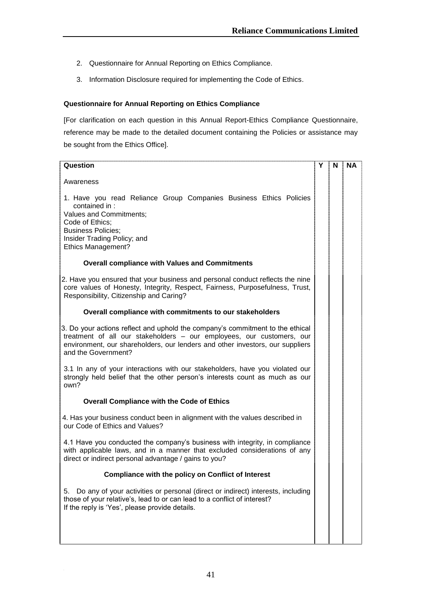- 2. Questionnaire for Annual Reporting on Ethics Compliance.
- 3. Information Disclosure required for implementing the Code of Ethics.

# **Questionnaire for Annual Reporting on Ethics Compliance**

[For clarification on each question in this Annual Report-Ethics Compliance Questionnaire, reference may be made to the detailed document containing the Policies or assistance may be sought from the Ethics Office].

| Question                                                                                                                                                                                                                                                       | Y | N | <b>NA</b> |
|----------------------------------------------------------------------------------------------------------------------------------------------------------------------------------------------------------------------------------------------------------------|---|---|-----------|
| Awareness                                                                                                                                                                                                                                                      |   |   |           |
| 1. Have you read Reliance Group Companies Business Ethics Policies<br>contained in :<br><b>Values and Commitments;</b><br>Code of Ethics;<br><b>Business Policies;</b><br>Insider Trading Policy; and<br><b>Ethics Management?</b>                             |   |   |           |
| <b>Overall compliance with Values and Commitments</b>                                                                                                                                                                                                          |   |   |           |
| 2. Have you ensured that your business and personal conduct reflects the nine<br>core values of Honesty, Integrity, Respect, Fairness, Purposefulness, Trust,<br>Responsibility, Citizenship and Caring?                                                       |   |   |           |
| Overall compliance with commitments to our stakeholders                                                                                                                                                                                                        |   |   |           |
| 3. Do your actions reflect and uphold the company's commitment to the ethical<br>treatment of all our stakeholders - our employees, our customers, our<br>environment, our shareholders, our lenders and other investors, our suppliers<br>and the Government? |   |   |           |
| 3.1 In any of your interactions with our stakeholders, have you violated our<br>strongly held belief that the other person's interests count as much as our<br>own?                                                                                            |   |   |           |
| <b>Overall Compliance with the Code of Ethics</b>                                                                                                                                                                                                              |   |   |           |
| 4. Has your business conduct been in alignment with the values described in<br>our Code of Ethics and Values?                                                                                                                                                  |   |   |           |
| 4.1 Have you conducted the company's business with integrity, in compliance<br>with applicable laws, and in a manner that excluded considerations of any<br>direct or indirect personal advantage / gains to you?                                              |   |   |           |
| <b>Compliance with the policy on Conflict of Interest</b>                                                                                                                                                                                                      |   |   |           |
| Do any of your activities or personal (direct or indirect) interests, including<br>5.<br>those of your relative's, lead to or can lead to a conflict of interest?<br>If the reply is 'Yes', please provide details.                                            |   |   |           |
|                                                                                                                                                                                                                                                                |   |   |           |
|                                                                                                                                                                                                                                                                |   |   |           |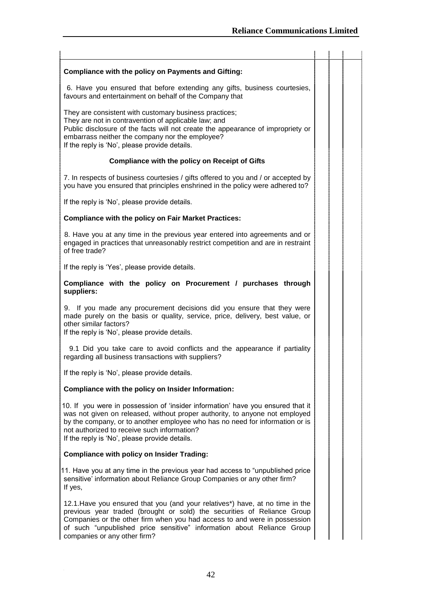| <b>Compliance with the policy on Payments and Gifting:</b>                                                                                                                                                                                                                                                                                      |  |
|-------------------------------------------------------------------------------------------------------------------------------------------------------------------------------------------------------------------------------------------------------------------------------------------------------------------------------------------------|--|
| 6. Have you ensured that before extending any gifts, business courtesies,<br>favours and entertainment on behalf of the Company that                                                                                                                                                                                                            |  |
| They are consistent with customary business practices;<br>They are not in contravention of applicable law; and<br>Public disclosure of the facts will not create the appearance of impropriety or<br>embarrass neither the company nor the employee?<br>If the reply is 'No', please provide details.                                           |  |
| <b>Compliance with the policy on Receipt of Gifts</b>                                                                                                                                                                                                                                                                                           |  |
| 7. In respects of business courtesies / gifts offered to you and / or accepted by<br>you have you ensured that principles enshrined in the policy were adhered to?                                                                                                                                                                              |  |
| If the reply is 'No', please provide details.                                                                                                                                                                                                                                                                                                   |  |
| <b>Compliance with the policy on Fair Market Practices:</b>                                                                                                                                                                                                                                                                                     |  |
| 8. Have you at any time in the previous year entered into agreements and or<br>engaged in practices that unreasonably restrict competition and are in restraint<br>of free trade?                                                                                                                                                               |  |
| If the reply is 'Yes', please provide details.                                                                                                                                                                                                                                                                                                  |  |
| Compliance with the policy on Procurement / purchases through<br>suppliers:                                                                                                                                                                                                                                                                     |  |
| 9. If you made any procurement decisions did you ensure that they were<br>made purely on the basis or quality, service, price, delivery, best value, or<br>other similar factors?<br>If the reply is 'No', please provide details.                                                                                                              |  |
| 9.1 Did you take care to avoid conflicts and the appearance if partiality<br>regarding all business transactions with suppliers?                                                                                                                                                                                                                |  |
| If the reply is 'No', please provide details.                                                                                                                                                                                                                                                                                                   |  |
| Compliance with the policy on Insider Information:                                                                                                                                                                                                                                                                                              |  |
| 10. If you were in possession of 'insider information' have you ensured that it<br>was not given on released, without proper authority, to anyone not employed<br>by the company, or to another employee who has no need for information or is<br>not authorized to receive such information?<br>If the reply is 'No', please provide details.  |  |
| <b>Compliance with policy on Insider Trading:</b>                                                                                                                                                                                                                                                                                               |  |
| 11. Have you at any time in the previous year had access to "unpublished price<br>sensitive' information about Reliance Group Companies or any other firm?<br>If yes,                                                                                                                                                                           |  |
| 12.1. Have you ensured that you (and your relatives*) have, at no time in the<br>previous year traded (brought or sold) the securities of Reliance Group<br>Companies or the other firm when you had access to and were in possession<br>of such "unpublished price sensitive" information about Reliance Group<br>companies or any other firm? |  |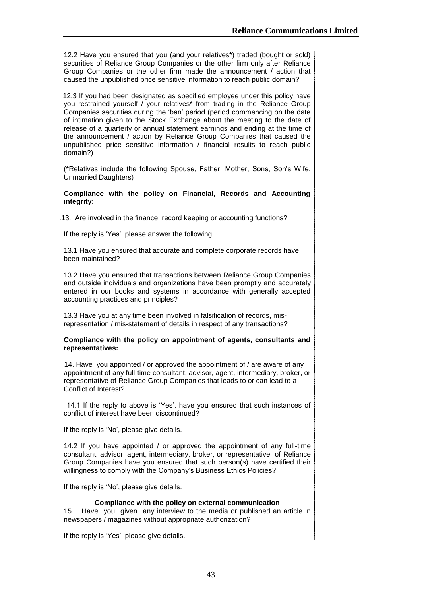12.2 Have you ensured that you (and your relatives\*) traded (bought or sold) securities of Reliance Group Companies or the other firm only after Reliance Group Companies or the other firm made the announcement / action that caused the unpublished price sensitive information to reach public domain?

12.3 If you had been designated as specified employee under this policy have you restrained yourself / your relatives\* from trading in the Reliance Group Companies securities during the "ban" period (period commencing on the date of intimation given to the Stock Exchange about the meeting to the date of release of a quarterly or annual statement earnings and ending at the time of the announcement / action by Reliance Group Companies that caused the unpublished price sensitive information / financial results to reach public domain?)

(\*Relatives include the following Spouse, Father, Mother, Sons, Son"s Wife, Unmarried Daughters)

**Compliance with the policy on Financial, Records and Accounting integrity:**

13. Are involved in the finance, record keeping or accounting functions?

If the reply is 'Yes', please answer the following

13.1 Have you ensured that accurate and complete corporate records have been maintained?

13.2 Have you ensured that transactions between Reliance Group Companies and outside individuals and organizations have been promptly and accurately entered in our books and systems in accordance with generally accepted accounting practices and principles?

13.3 Have you at any time been involved in falsification of records, misrepresentation / mis-statement of details in respect of any transactions?

#### **Compliance with the policy on appointment of agents, consultants and representatives:**

14. Have you appointed / or approved the appointment of / are aware of any appointment of any full-time consultant, advisor, agent, intermediary, broker, or representative of Reliance Group Companies that leads to or can lead to a Conflict of Interest?

13.2 14.1 If the reply to above is "Yes", have you ensured that such instances of conflict of interest have been discontinued?

If the reply is 'No', please give details.

14.2 If you have appointed / or approved the appointment of any full-time consultant, advisor, agent, intermediary, broker, or representative of Reliance Group Companies have you ensured that such person(s) have certified their willingness to comply with the Company's Business Ethics Policies?

If the reply is 'No', please give details.

# **Compliance with the policy on external communication**

15. Have you given any interview to the media or published an article in newspapers / magazines without appropriate authorization?

If the reply is 'Yes', please give details.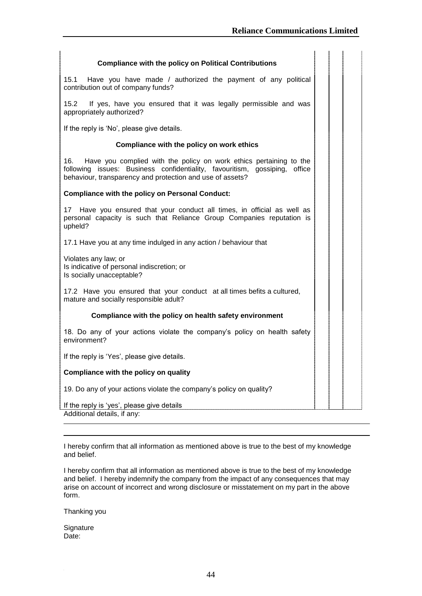| <b>Compliance with the policy on Political Contributions</b>                                                                                                                                                         |
|----------------------------------------------------------------------------------------------------------------------------------------------------------------------------------------------------------------------|
| Have you have made / authorized the payment of any political<br>15.1<br>contribution out of company funds?                                                                                                           |
| 15.2<br>If yes, have you ensured that it was legally permissible and was<br>appropriately authorized?                                                                                                                |
| If the reply is 'No', please give details.                                                                                                                                                                           |
| Compliance with the policy on work ethics                                                                                                                                                                            |
| 16.<br>Have you complied with the policy on work ethics pertaining to the<br>following issues: Business confidentiality, favouritism, gossiping, office<br>behaviour, transparency and protection and use of assets? |
| <b>Compliance with the policy on Personal Conduct:</b>                                                                                                                                                               |
| 17<br>Have you ensured that your conduct all times, in official as well as<br>personal capacity is such that Reliance Group Companies reputation is<br>upheld?                                                       |
| 17.1 Have you at any time indulged in any action / behaviour that                                                                                                                                                    |
| Violates any law; or<br>Is indicative of personal indiscretion; or<br>Is socially unacceptable?                                                                                                                      |
| 17.2 Have you ensured that your conduct at all times befits a cultured,<br>mature and socially responsible adult?                                                                                                    |
| Compliance with the policy on health safety environment                                                                                                                                                              |
| 18. Do any of your actions violate the company's policy on health safety<br>environment?                                                                                                                             |
| If the reply is 'Yes', please give details.                                                                                                                                                                          |
| Compliance with the policy on quality                                                                                                                                                                                |
| 19. Do any of your actions violate the company's policy on quality?                                                                                                                                                  |
| If the reply is 'yes', please give details<br>Additional details, if any:                                                                                                                                            |

I hereby confirm that all information as mentioned above is true to the best of my knowledge and belief.

I hereby confirm that all information as mentioned above is true to the best of my knowledge and belief. I hereby indemnify the company from the impact of any consequences that may arise on account of incorrect and wrong disclosure or misstatement on my part in the above form.

Thanking you

**Signature** Date: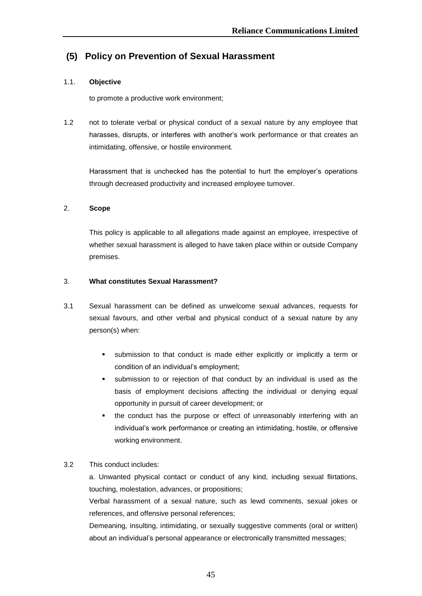# **(5) Policy on Prevention of Sexual Harassment**

# 1.1. **Objective**

to promote a productive work environment;

1.2 not to tolerate verbal or physical conduct of a sexual nature by any employee that harasses, disrupts, or interferes with another"s work performance or that creates an intimidating, offensive, or hostile environment.

Harassment that is unchecked has the potential to hurt the employer's operations through decreased productivity and increased employee turnover.

# 2. **Scope**

This policy is applicable to all allegations made against an employee, irrespective of whether sexual harassment is alleged to have taken place within or outside Company premises.

# 3. **What constitutes Sexual Harassment?**

- 3.1 Sexual harassment can be defined as unwelcome sexual advances, requests for sexual favours, and other verbal and physical conduct of a sexual nature by any person(s) when:
	- submission to that conduct is made either explicitly or implicitly a term or condition of an individual"s employment;
	- submission to or rejection of that conduct by an individual is used as the basis of employment decisions affecting the individual or denying equal opportunity in pursuit of career development; or
	- the conduct has the purpose or effect of unreasonably interfering with an individual"s work performance or creating an intimidating, hostile, or offensive working environment.

# 3.2 This conduct includes:

a. Unwanted physical contact or conduct of any kind, including sexual flirtations, touching, molestation, advances, or propositions;

Verbal harassment of a sexual nature, such as lewd comments, sexual jokes or references, and offensive personal references;

Demeaning, insulting, intimidating, or sexually suggestive comments (oral or written) about an individual's personal appearance or electronically transmitted messages;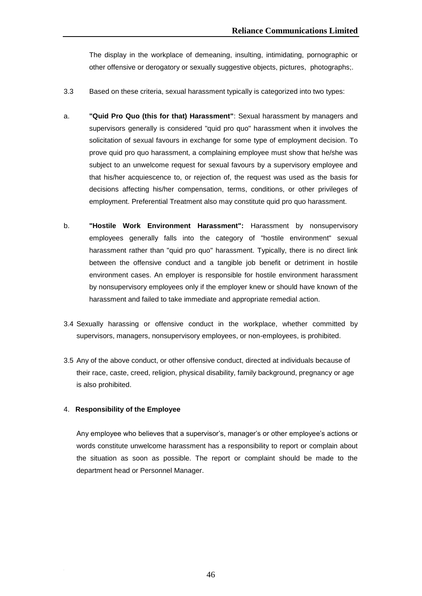The display in the workplace of demeaning, insulting, intimidating, pornographic or other offensive or derogatory or sexually suggestive objects, pictures, photographs;.

- 3.3 Based on these criteria, sexual harassment typically is categorized into two types:
- a. **"Quid Pro Quo (this for that) Harassment"**: Sexual harassment by managers and supervisors generally is considered "quid pro quo" harassment when it involves the solicitation of sexual favours in exchange for some type of employment decision. To prove quid pro quo harassment, a complaining employee must show that he/she was subject to an unwelcome request for sexual favours by a supervisory employee and that his/her acquiescence to, or rejection of, the request was used as the basis for decisions affecting his/her compensation, terms, conditions, or other privileges of employment. Preferential Treatment also may constitute quid pro quo harassment.
- b. **"Hostile Work Environment Harassment":** Harassment by nonsupervisory employees generally falls into the category of "hostile environment" sexual harassment rather than "quid pro quo" harassment. Typically, there is no direct link between the offensive conduct and a tangible job benefit or detriment in hostile environment cases. An employer is responsible for hostile environment harassment by nonsupervisory employees only if the employer knew or should have known of the harassment and failed to take immediate and appropriate remedial action.
- 3.4 Sexually harassing or offensive conduct in the workplace, whether committed by supervisors, managers, nonsupervisory employees, or non-employees, is prohibited.
- 3.5 Any of the above conduct, or other offensive conduct, directed at individuals because of their race, caste, creed, religion, physical disability, family background, pregnancy or age is also prohibited.

# 4. **Responsibility of the Employee**

Any employee who believes that a supervisor's, manager's or other employee's actions or words constitute unwelcome harassment has a responsibility to report or complain about the situation as soon as possible. The report or complaint should be made to the department head or Personnel Manager.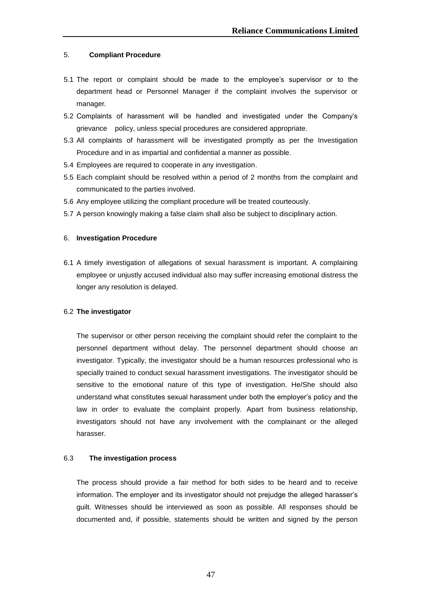# 5. **Compliant Procedure**

- 5.1 The report or complaint should be made to the employee"s supervisor or to the department head or Personnel Manager if the complaint involves the supervisor or manager.
- 5.2 Complaints of harassment will be handled and investigated under the Company"s grievance policy, unless special procedures are considered appropriate.
- 5.3 All complaints of harassment will be investigated promptly as per the Investigation Procedure and in as impartial and confidential a manner as possible.
- 5.4 Employees are required to cooperate in any investigation.
- 5.5 Each complaint should be resolved within a period of 2 months from the complaint and communicated to the parties involved.
- 5.6 Any employee utilizing the compliant procedure will be treated courteously.
- 5.7 A person knowingly making a false claim shall also be subject to disciplinary action.

#### 6. **Investigation Procedure**

6.1 A timely investigation of allegations of sexual harassment is important. A complaining employee or unjustly accused individual also may suffer increasing emotional distress the longer any resolution is delayed.

#### 6.2 **The investigator**

The supervisor or other person receiving the complaint should refer the complaint to the personnel department without delay. The personnel department should choose an investigator. Typically, the investigator should be a human resources professional who is specially trained to conduct sexual harassment investigations. The investigator should be sensitive to the emotional nature of this type of investigation. He/She should also understand what constitutes sexual harassment under both the employer"s policy and the law in order to evaluate the complaint properly. Apart from business relationship, investigators should not have any involvement with the complainant or the alleged harasser.

#### 6.3 **The investigation process**

The process should provide a fair method for both sides to be heard and to receive information. The employer and its investigator should not prejudge the alleged harasser"s guilt. Witnesses should be interviewed as soon as possible. All responses should be documented and, if possible, statements should be written and signed by the person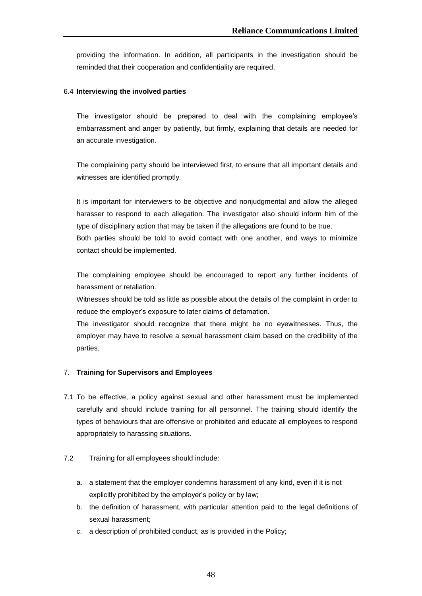providing the information. In addition, all participants in the investigation should be reminded that their cooperation and confidentiality are required.

# 6.4 **Interviewing the involved parties**

The investigator should be prepared to deal with the complaining employee"s embarrassment and anger by patiently, but firmly, explaining that details are needed for an accurate investigation.

The complaining party should be interviewed first, to ensure that all important details and witnesses are identified promptly.

It is important for interviewers to be objective and nonjudgmental and allow the alleged harasser to respond to each allegation. The investigator also should inform him of the type of disciplinary action that may be taken if the allegations are found to be true. Both parties should be told to avoid contact with one another, and ways to minimize contact should be implemented.

The complaining employee should be encouraged to report any further incidents of harassment or retaliation.

Witnesses should be told as little as possible about the details of the complaint in order to reduce the employer"s exposure to later claims of defamation.

The investigator should recognize that there might be no eyewitnesses. Thus, the employer may have to resolve a sexual harassment claim based on the credibility of the parties.

# 7. **Training for Supervisors and Employees**

- 7.1 To be effective, a policy against sexual and other harassment must be implemented carefully and should include training for all personnel. The training should identify the types of behaviours that are offensive or prohibited and educate all employees to respond appropriately to harassing situations.
- 7.2 Training for all employees should include:
	- a. a statement that the employer condemns harassment of any kind, even if it is not explicitly prohibited by the employer's policy or by law;
	- b. the definition of harassment, with particular attention paid to the legal definitions of sexual harassment;
	- c. a description of prohibited conduct, as is provided in the Policy;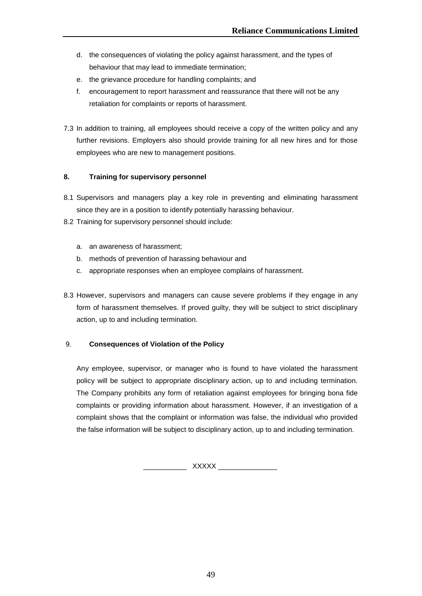- d. the consequences of violating the policy against harassment, and the types of behaviour that may lead to immediate termination;
- e. the grievance procedure for handling complaints; and
- f. encouragement to report harassment and reassurance that there will not be any retaliation for complaints or reports of harassment.
- 7.3 In addition to training, all employees should receive a copy of the written policy and any further revisions. Employers also should provide training for all new hires and for those employees who are new to management positions.

# **8. Training for supervisory personnel**

- 8.1 Supervisors and managers play a key role in preventing and eliminating harassment since they are in a position to identify potentially harassing behaviour.
- 8.2 Training for supervisory personnel should include:
	- a. an awareness of harassment;
	- b. methods of prevention of harassing behaviour and
	- c. appropriate responses when an employee complains of harassment.
- 8.3 However, supervisors and managers can cause severe problems if they engage in any form of harassment themselves. If proved guilty, they will be subject to strict disciplinary action, up to and including termination.

# 9. **Consequences of Violation of the Policy**

Any employee, supervisor, or manager who is found to have violated the harassment policy will be subject to appropriate disciplinary action, up to and including termination. The Company prohibits any form of retaliation against employees for bringing bona fide complaints or providing information about harassment. However, if an investigation of a complaint shows that the complaint or information was false, the individual who provided the false information will be subject to disciplinary action, up to and including termination.

 $XXXXX$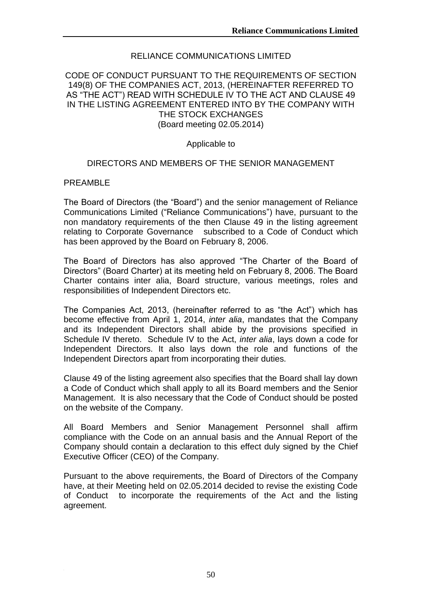# RELIANCE COMMUNICATIONS LIMITED

# CODE OF CONDUCT PURSUANT TO THE REQUIREMENTS OF SECTION 149(8) OF THE COMPANIES ACT, 2013, (HEREINAFTER REFERRED TO AS "THE ACT") READ WITH SCHEDULE IV TO THE ACT AND CLAUSE 49 IN THE LISTING AGREEMENT ENTERED INTO BY THE COMPANY WITH THE STOCK EXCHANGES (Board meeting 02.05.2014)

# Applicable to

# DIRECTORS AND MEMBERS OF THE SENIOR MANAGEMENT

# PREAMBLE

The Board of Directors (the "Board") and the senior management of Reliance Communications Limited ("Reliance Communications") have, pursuant to the non mandatory requirements of the then Clause 49 in the listing agreement relating to Corporate Governance subscribed to a Code of Conduct which has been approved by the Board on February 8, 2006.

The Board of Directors has also approved "The Charter of the Board of Directors" (Board Charter) at its meeting held on February 8, 2006. The Board Charter contains inter alia, Board structure, various meetings, roles and responsibilities of Independent Directors etc.

The Companies Act, 2013, (hereinafter referred to as "the Act") which has become effective from April 1, 2014, *inter alia*, mandates that the Company and its Independent Directors shall abide by the provisions specified in Schedule IV thereto. Schedule IV to the Act, *inter alia*, lays down a code for Independent Directors. It also lays down the role and functions of the Independent Directors apart from incorporating their duties.

Clause 49 of the listing agreement also specifies that the Board shall lay down a Code of Conduct which shall apply to all its Board members and the Senior Management. It is also necessary that the Code of Conduct should be posted on the website of the Company.

All Board Members and Senior Management Personnel shall affirm compliance with the Code on an annual basis and the Annual Report of the Company should contain a declaration to this effect duly signed by the Chief Executive Officer (CEO) of the Company.

Pursuant to the above requirements, the Board of Directors of the Company have, at their Meeting held on 02.05.2014 decided to revise the existing Code of Conduct to incorporate the requirements of the Act and the listing agreement.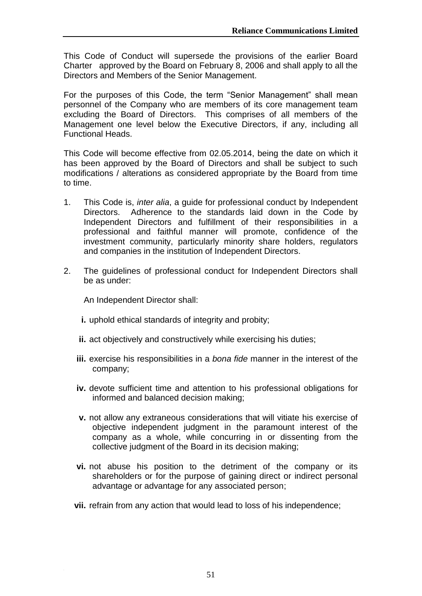This Code of Conduct will supersede the provisions of the earlier Board Charter approved by the Board on February 8, 2006 and shall apply to all the Directors and Members of the Senior Management.

For the purposes of this Code, the term "Senior Management" shall mean personnel of the Company who are members of its core management team excluding the Board of Directors. This comprises of all members of the Management one level below the Executive Directors, if any, including all Functional Heads.

This Code will become effective from 02.05.2014, being the date on which it has been approved by the Board of Directors and shall be subject to such modifications / alterations as considered appropriate by the Board from time to time.

- 1. This Code is, *inter alia*, a guide for professional conduct by Independent Directors. Adherence to the standards laid down in the Code by Independent Directors and fulfillment of their responsibilities in a professional and faithful manner will promote, confidence of the investment community, particularly minority share holders, regulators and companies in the institution of Independent Directors.
- 2. The guidelines of professional conduct for Independent Directors shall be as under:

An Independent Director shall:

- **i.** uphold ethical standards of integrity and probity;
- **ii.** act objectively and constructively while exercising his duties;
- **iii.** exercise his responsibilities in a *bona fide* manner in the interest of the company;
- **iv.** devote sufficient time and attention to his professional obligations for informed and balanced decision making;
- **v.** not allow any extraneous considerations that will vitiate his exercise of objective independent judgment in the paramount interest of the company as a whole, while concurring in or dissenting from the collective judgment of the Board in its decision making;
- **vi.** not abuse his position to the detriment of the company or its shareholders or for the purpose of gaining direct or indirect personal advantage or advantage for any associated person;
- **vii.** refrain from any action that would lead to loss of his independence;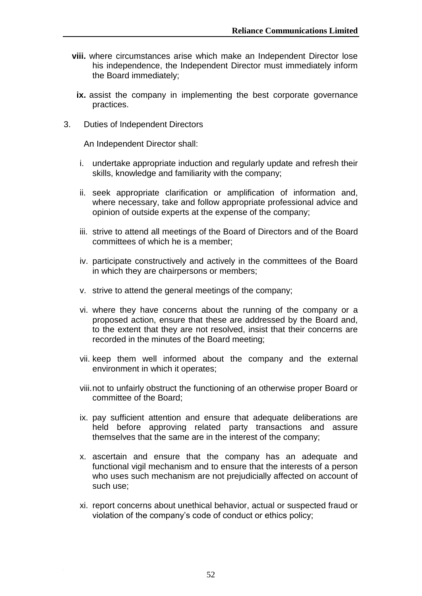- **viii.** where circumstances arise which make an Independent Director lose his independence, the Independent Director must immediately inform the Board immediately;
- ix. assist the company in implementing the best corporate governance practices.
- 3. Duties of Independent Directors

An Independent Director shall:

- i. undertake appropriate induction and regularly update and refresh their skills, knowledge and familiarity with the company;
- ii. seek appropriate clarification or amplification of information and, where necessary, take and follow appropriate professional advice and opinion of outside experts at the expense of the company;
- iii. strive to attend all meetings of the Board of Directors and of the Board committees of which he is a member;
- iv. participate constructively and actively in the committees of the Board in which they are chairpersons or members;
- v. strive to attend the general meetings of the company;
- vi. where they have concerns about the running of the company or a proposed action, ensure that these are addressed by the Board and, to the extent that they are not resolved, insist that their concerns are recorded in the minutes of the Board meeting;
- vii. keep them well informed about the company and the external environment in which it operates;
- viii.not to unfairly obstruct the functioning of an otherwise proper Board or committee of the Board;
- ix. pay sufficient attention and ensure that adequate deliberations are held before approving related party transactions and assure themselves that the same are in the interest of the company;
- x. ascertain and ensure that the company has an adequate and functional vigil mechanism and to ensure that the interests of a person who uses such mechanism are not prejudicially affected on account of such use;
- xi. report concerns about unethical behavior, actual or suspected fraud or violation of the company"s code of conduct or ethics policy;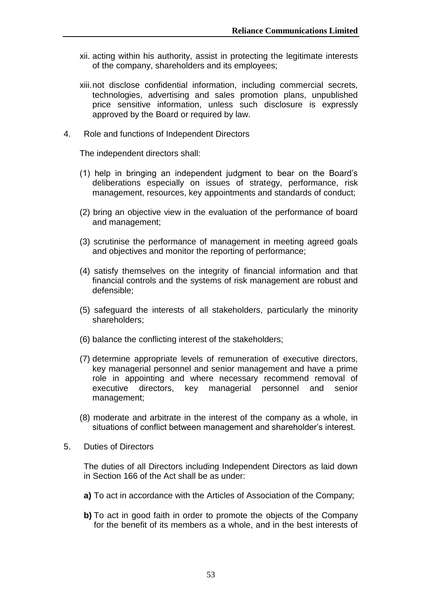- xii. acting within his authority, assist in protecting the legitimate interests of the company, shareholders and its employees;
- xiii.not disclose confidential information, including commercial secrets, technologies, advertising and sales promotion plans, unpublished price sensitive information, unless such disclosure is expressly approved by the Board or required by law.
- 4. Role and functions of Independent Directors

The independent directors shall:

- (1) help in bringing an independent judgment to bear on the Board"s deliberations especially on issues of strategy, performance, risk management, resources, key appointments and standards of conduct;
- (2) bring an objective view in the evaluation of the performance of board and management;
- (3) scrutinise the performance of management in meeting agreed goals and objectives and monitor the reporting of performance;
- (4) satisfy themselves on the integrity of financial information and that financial controls and the systems of risk management are robust and defensible;
- (5) safeguard the interests of all stakeholders, particularly the minority shareholders;
- (6) balance the conflicting interest of the stakeholders;
- (7) determine appropriate levels of remuneration of executive directors, key managerial personnel and senior management and have a prime role in appointing and where necessary recommend removal of executive directors, key managerial personnel and senior management;
- (8) moderate and arbitrate in the interest of the company as a whole, in situations of conflict between management and shareholder"s interest.
- 5. Duties of Directors

The duties of all Directors including Independent Directors as laid down in Section 166 of the Act shall be as under:

- **a)** To act in accordance with the Articles of Association of the Company;
- **b)** To act in good faith in order to promote the objects of the Company for the benefit of its members as a whole, and in the best interests of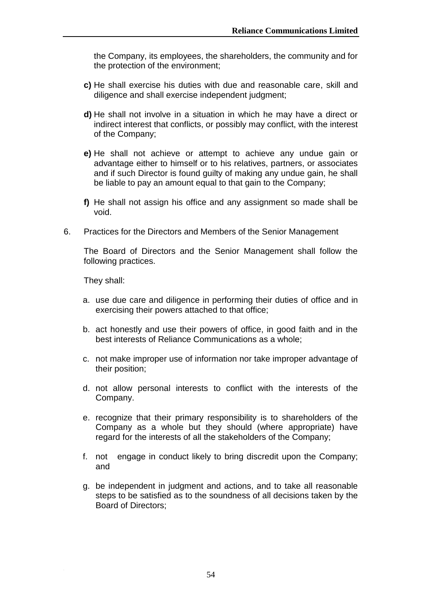the Company, its employees, the shareholders, the community and for the protection of the environment;

- **c)** He shall exercise his duties with due and reasonable care, skill and diligence and shall exercise independent judgment;
- **d)** He shall not involve in a situation in which he may have a direct or indirect interest that conflicts, or possibly may conflict, with the interest of the Company;
- **e)** He shall not achieve or attempt to achieve any undue gain or advantage either to himself or to his relatives, partners, or associates and if such Director is found guilty of making any undue gain, he shall be liable to pay an amount equal to that gain to the Company;
- **f)** He shall not assign his office and any assignment so made shall be void.
- 6. Practices for the Directors and Members of the Senior Management

The Board of Directors and the Senior Management shall follow the following practices.

They shall:

- a. use due care and diligence in performing their duties of office and in exercising their powers attached to that office;
- b. act honestly and use their powers of office, in good faith and in the best interests of Reliance Communications as a whole;
- c. not make improper use of information nor take improper advantage of their position;
- d. not allow personal interests to conflict with the interests of the Company.
- e. recognize that their primary responsibility is to shareholders of the Company as a whole but they should (where appropriate) have regard for the interests of all the stakeholders of the Company;
- f. not engage in conduct likely to bring discredit upon the Company; and
- g. be independent in judgment and actions, and to take all reasonable steps to be satisfied as to the soundness of all decisions taken by the Board of Directors;